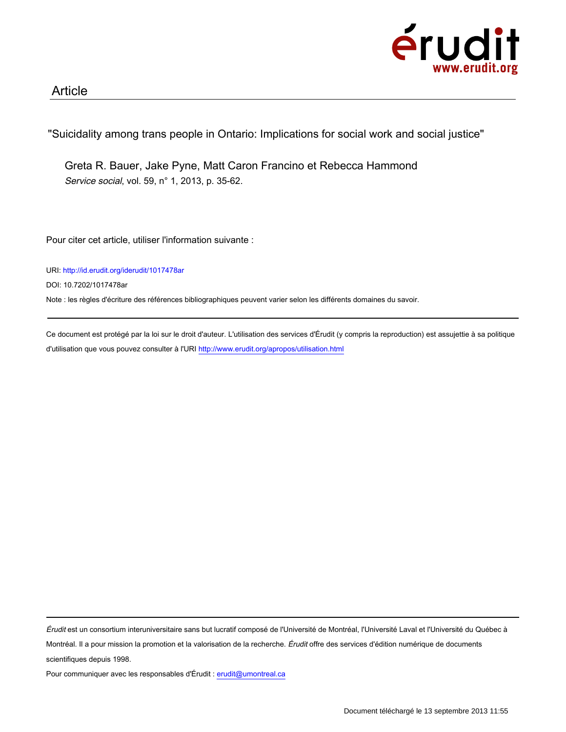

"Suicidality among trans people in Ontario: Implications for social work and social justice"

Greta R. Bauer, Jake Pyne, Matt Caron Francino et Rebecca Hammond Service social, vol. 59, n° 1, 2013, p. 35-62.

Pour citer cet article, utiliser l'information suivante :

URI: http://id.erudit.org/iderudit/1017478ar

DOI: 10.7202/1017478ar

Note : les règles d'écriture des références bibliographiques peuvent varier selon les différents domaines du savoir.

Ce document est protégé par la loi sur le droit d'auteur. L'utilisation des services d'Érudit (y compris la reproduction) est assujettie à sa politique d'utilisation que vous pouvez consulter à l'URI http://www.erudit.org/apropos/utilisation.html

Érudit est un consortium interuniversitaire sans but lucratif composé de l'Université de Montréal, l'Université Laval et l'Université du Québec à Montréal. Il a pour mission la promotion et la valorisation de la recherche. Érudit offre des services d'édition numérique de documents scientifiques depuis 1998.

Pour communiquer avec les responsables d'Érudit : erudit@umontreal.ca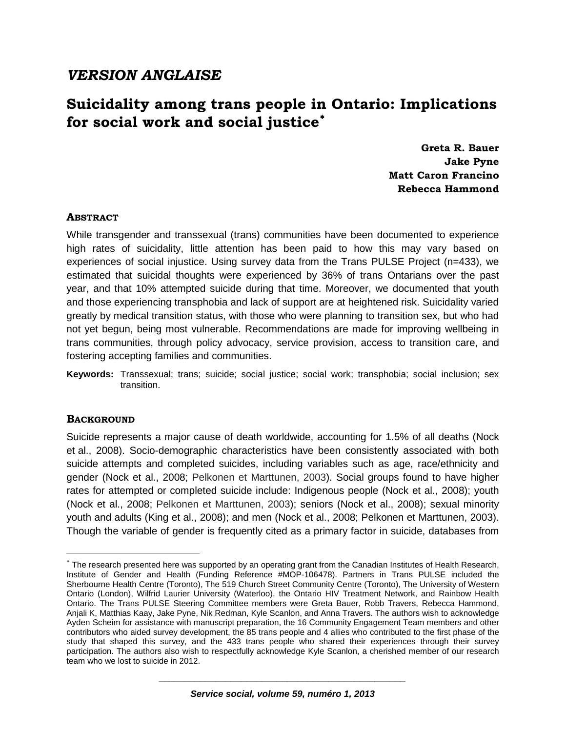## *VERSION ANGLAISE*

# **Suicidality among trans people in Ontario: Implications**  for social work and social justice<sup>\*</sup>

**Greta R. Bauer Jake Pyne Matt Caron Francino Rebecca Hammond**

## **ABSTRACT**

While transgender and transsexual (trans) communities have been documented to experience high rates of suicidality, little attention has been paid to how this may vary based on experiences of social injustice. Using survey data from the Trans PULSE Project (n=433), we estimated that suicidal thoughts were experienced by 36% of trans Ontarians over the past year, and that 10% attempted suicide during that time. Moreover, we documented that youth and those experiencing transphobia and lack of support are at heightened risk. Suicidality varied greatly by medical transition status, with those who were planning to transition sex, but who had not yet begun, being most vulnerable. Recommendations are made for improving wellbeing in trans communities, through policy advocacy, service provision, access to transition care, and fostering accepting families and communities.

**Keywords:** Transsexual; trans; suicide; social justice; social work; transphobia; social inclusion; sex transition.

## **BACKGROUND**

 $\overline{a}$ 

Suicide represents a major cause of death worldwide, accounting for 1.5% of all deaths (Nock et al., 2008). Socio-demographic characteristics have been consistently associated with both suicide attempts and completed suicides, including variables such as age, race/ethnicity and gender (Nock et al., 2008; Pelkonen et Marttunen, 2003). Social groups found to have higher rates for attempted or completed suicide include: Indigenous people (Nock et al., 2008); youth (Nock et al., 2008; Pelkonen et Marttunen, 2003); seniors (Nock et al., 2008); sexual minority youth and adults (King et al., 2008); and men (Nock et al., 2008; Pelkonen et Marttunen, 2003). Though the variable of gender is frequently cited as a primary factor in suicide, databases from

<span id="page-1-0"></span><sup>∗</sup> The research presented here was supported by an operating grant from the Canadian Institutes of Health Research, Institute of Gender and Health (Funding Reference #MOP-106478). Partners in Trans PULSE included the Sherbourne Health Centre (Toronto), The 519 Church Street Community Centre (Toronto), The University of Western Ontario (London), Wilfrid Laurier University (Waterloo), the Ontario HIV Treatment Network, and Rainbow Health Ontario. The Trans PULSE Steering Committee members were Greta Bauer, Robb Travers, Rebecca Hammond, Anjali K, Matthias Kaay, Jake Pyne, Nik Redman, Kyle Scanlon, and Anna Travers. The authors wish to acknowledge Ayden Scheim for assistance with manuscript preparation, the 16 Community Engagement Team members and other contributors who aided survey development, the 85 trans people and 4 allies who contributed to the first phase of the study that shaped this survey, and the 433 trans people who shared their experiences through their survey participation. The authors also wish to respectfully acknowledge Kyle Scanlon, a cherished member of our research team who we lost to suicide in 2012.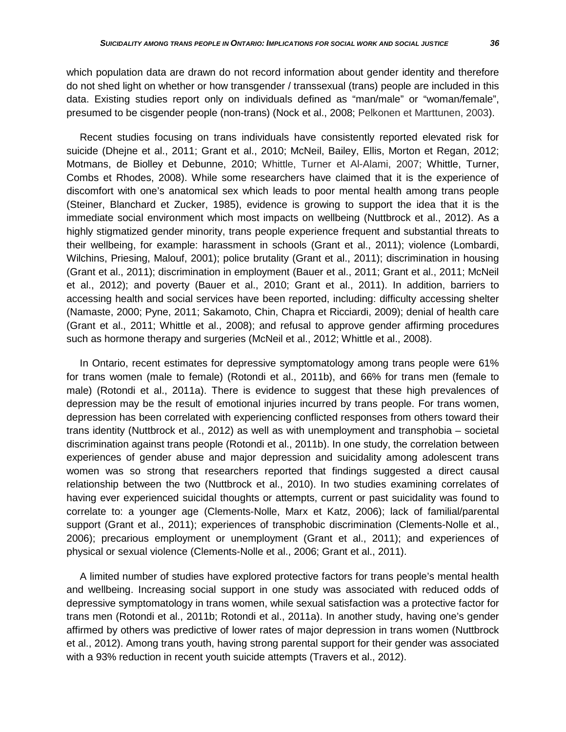which population data are drawn do not record information about gender identity and therefore do not shed light on whether or how transgender / transsexual (trans) people are included in this data. Existing studies report only on individuals defined as "man/male" or "woman/female", presumed to be cisgender people (non-trans) (Nock et al., 2008; Pelkonen et Marttunen, 2003).

Recent studies focusing on trans individuals have consistently reported elevated risk for suicide (Dhejne et al., 2011; Grant et al., 2010; McNeil, Bailey, Ellis, Morton et Regan, 2012; Motmans, de Biolley et Debunne, 2010; Whittle, Turner et Al-Alami, 2007; Whittle, Turner, Combs et Rhodes, 2008). While some researchers have claimed that it is the experience of discomfort with one's anatomical sex which leads to poor mental health among trans people (Steiner, Blanchard et Zucker, 1985), evidence is growing to support the idea that it is the immediate social environment which most impacts on wellbeing (Nuttbrock et al., 2012). As a highly stigmatized gender minority, trans people experience frequent and substantial threats to their wellbeing, for example: harassment in schools (Grant et al., 2011); violence (Lombardi, Wilchins, Priesing, Malouf, 2001); police brutality (Grant et al., 2011); discrimination in housing (Grant et al., 2011); discrimination in employment (Bauer et al., 2011; Grant et al., 2011; McNeil et al., 2012); and poverty (Bauer et al., 2010; Grant et al., 2011). In addition, barriers to accessing health and social services have been reported, including: difficulty accessing shelter (Namaste, 2000; Pyne, 2011; Sakamoto, Chin, Chapra et Ricciardi, 2009); denial of health care (Grant et al., 2011; Whittle et al., 2008); and refusal to approve gender affirming procedures such as hormone therapy and surgeries (McNeil et al., 2012; Whittle et al., 2008).

In Ontario, recent estimates for depressive symptomatology among trans people were 61% for trans women (male to female) (Rotondi et al., 2011b), and 66% for trans men (female to male) (Rotondi et al., 2011a). There is evidence to suggest that these high prevalences of depression may be the result of emotional injuries incurred by trans people. For trans women, depression has been correlated with experiencing conflicted responses from others toward their trans identity (Nuttbrock et al., 2012) as well as with unemployment and transphobia – societal discrimination against trans people (Rotondi et al., 2011b). In one study, the correlation between experiences of gender abuse and major depression and suicidality among adolescent trans women was so strong that researchers reported that findings suggested a direct causal relationship between the two (Nuttbrock et al., 2010). In two studies examining correlates of having ever experienced suicidal thoughts or attempts, current or past suicidality was found to correlate to: a younger age (Clements-Nolle, Marx et Katz, 2006); lack of familial/parental support (Grant et al., 2011); experiences of transphobic discrimination (Clements-Nolle et al., 2006); precarious employment or unemployment (Grant et al., 2011); and experiences of physical or sexual violence (Clements-Nolle et al., 2006; Grant et al., 2011).

A limited number of studies have explored protective factors for trans people's mental health and wellbeing. Increasing social support in one study was associated with reduced odds of depressive symptomatology in trans women, while sexual satisfaction was a protective factor for trans men (Rotondi et al., 2011b; Rotondi et al., 2011a). In another study, having one's gender affirmed by others was predictive of lower rates of major depression in trans women (Nuttbrock et al., 2012). Among trans youth, having strong parental support for their gender was associated with a 93% reduction in recent youth suicide attempts (Travers et al., 2012).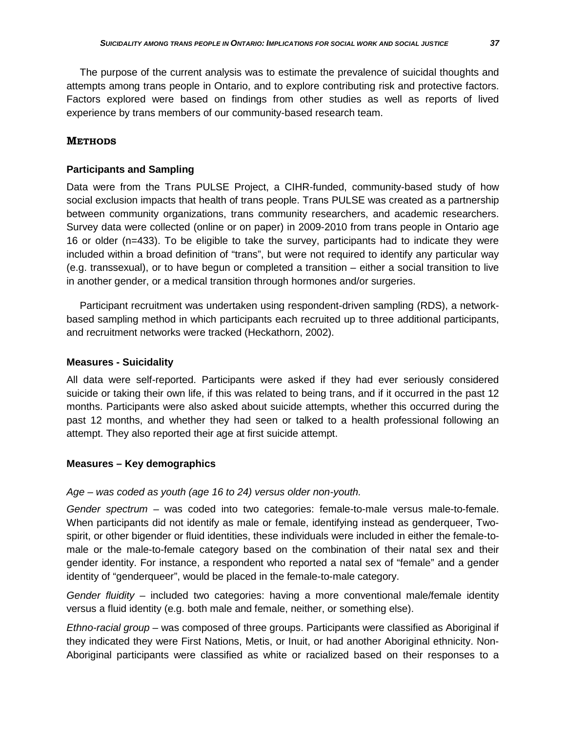The purpose of the current analysis was to estimate the prevalence of suicidal thoughts and attempts among trans people in Ontario, and to explore contributing risk and protective factors. Factors explored were based on findings from other studies as well as reports of lived experience by trans members of our community-based research team.

## **METHODS**

### **Participants and Sampling**

Data were from the Trans PULSE Project, a CIHR-funded, community-based study of how social exclusion impacts that health of trans people. Trans PULSE was created as a partnership between community organizations, trans community researchers, and academic researchers. Survey data were collected (online or on paper) in 2009-2010 from trans people in Ontario age 16 or older (n=433). To be eligible to take the survey, participants had to indicate they were included within a broad definition of "trans", but were not required to identify any particular way (e.g. transsexual), or to have begun or completed a transition – either a social transition to live in another gender, or a medical transition through hormones and/or surgeries.

Participant recruitment was undertaken using respondent-driven sampling (RDS), a networkbased sampling method in which participants each recruited up to three additional participants, and recruitment networks were tracked (Heckathorn, 2002).

## **Measures - Suicidality**

All data were self-reported. Participants were asked if they had ever seriously considered suicide or taking their own life, if this was related to being trans, and if it occurred in the past 12 months. Participants were also asked about suicide attempts, whether this occurred during the past 12 months, and whether they had seen or talked to a health professional following an attempt. They also reported their age at first suicide attempt.

### **Measures – Key demographics**

### *Age – was coded as youth (age 16 to 24) versus older non-youth.*

*Gender spectrum* – was coded into two categories: female-to-male versus male-to-female. When participants did not identify as male or female, identifying instead as genderqueer, Twospirit, or other bigender or fluid identities, these individuals were included in either the female-tomale or the male-to-female category based on the combination of their natal sex and their gender identity. For instance, a respondent who reported a natal sex of "female" and a gender identity of "genderqueer", would be placed in the female-to-male category.

*Gender fluidity* – included two categories: having a more conventional male/female identity versus a fluid identity (e.g. both male and female, neither, or something else).

*Ethno-racial group* – was composed of three groups. Participants were classified as Aboriginal if they indicated they were First Nations, Metis, or Inuit, or had another Aboriginal ethnicity. Non-Aboriginal participants were classified as white or racialized based on their responses to a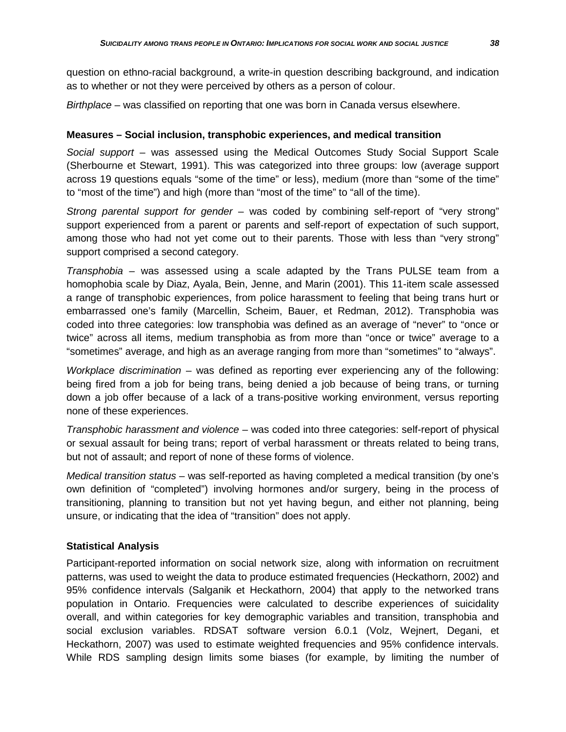question on ethno-racial background, a write-in question describing background, and indication as to whether or not they were perceived by others as a person of colour.

*Birthplace* – was classified on reporting that one was born in Canada versus elsewhere.

### **Measures – Social inclusion, transphobic experiences, and medical transition**

*Social support* – was assessed using the Medical Outcomes Study Social Support Scale (Sherbourne et Stewart, 1991). This was categorized into three groups: low (average support across 19 questions equals "some of the time" or less), medium (more than "some of the time" to "most of the time") and high (more than "most of the time" to "all of the time).

*Strong parental support for gender* – was coded by combining self-report of "very strong" support experienced from a parent or parents and self-report of expectation of such support, among those who had not yet come out to their parents. Those with less than "very strong" support comprised a second category.

*Transphobia* – was assessed using a scale adapted by the Trans PULSE team from a homophobia scale by Diaz, Ayala, Bein, Jenne, and Marin (2001). This 11-item scale assessed a range of transphobic experiences, from police harassment to feeling that being trans hurt or embarrassed one's family (Marcellin, Scheim, Bauer, et Redman, 2012). Transphobia was coded into three categories: low transphobia was defined as an average of "never" to "once or twice" across all items, medium transphobia as from more than "once or twice" average to a "sometimes" average, and high as an average ranging from more than "sometimes" to "always".

*Workplace discrimination* – was defined as reporting ever experiencing any of the following: being fired from a job for being trans, being denied a job because of being trans, or turning down a job offer because of a lack of a trans-positive working environment, versus reporting none of these experiences.

*Transphobic harassment and violence* – was coded into three categories: self-report of physical or sexual assault for being trans; report of verbal harassment or threats related to being trans, but not of assault; and report of none of these forms of violence.

*Medical transition status* – was self-reported as having completed a medical transition (by one's own definition of "completed") involving hormones and/or surgery, being in the process of transitioning, planning to transition but not yet having begun, and either not planning, being unsure, or indicating that the idea of "transition" does not apply.

### **Statistical Analysis**

Participant-reported information on social network size, along with information on recruitment patterns, was used to weight the data to produce estimated frequencies (Heckathorn, 2002) and 95% confidence intervals (Salganik et Heckathorn, 2004) that apply to the networked trans population in Ontario. Frequencies were calculated to describe experiences of suicidality overall, and within categories for key demographic variables and transition, transphobia and social exclusion variables. RDSAT software version 6.0.1 (Volz, Wejnert, Degani, et Heckathorn, 2007) was used to estimate weighted frequencies and 95% confidence intervals. While RDS sampling design limits some biases (for example, by limiting the number of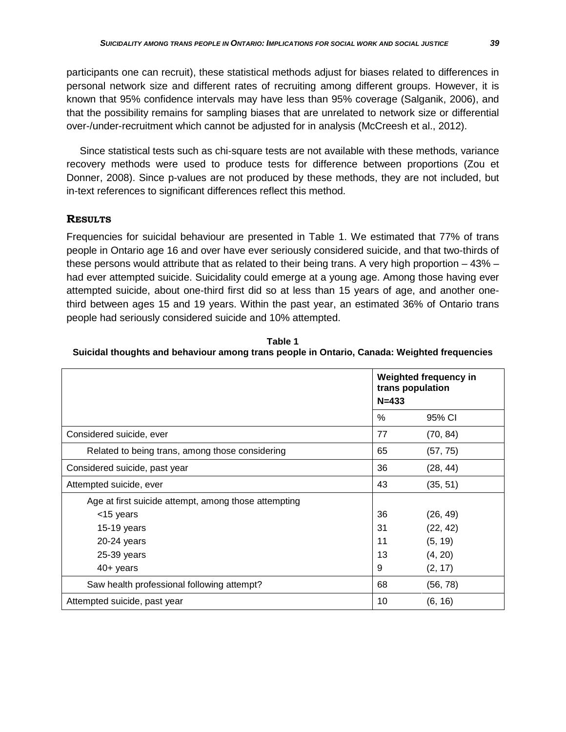participants one can recruit), these statistical methods adjust for biases related to differences in personal network size and different rates of recruiting among different groups. However, it is known that 95% confidence intervals may have less than 95% coverage (Salganik, 2006), and that the possibility remains for sampling biases that are unrelated to network size or differential over-/under-recruitment which cannot be adjusted for in analysis (McCreesh et al., 2012).

Since statistical tests such as chi-square tests are not available with these methods, variance recovery methods were used to produce tests for difference between proportions (Zou et Donner, 2008). Since p-values are not produced by these methods, they are not included, but in-text references to significant differences reflect this method.

## **RESULTS**

Frequencies for suicidal behaviour are presented in Table 1. We estimated that 77% of trans people in Ontario age 16 and over have ever seriously considered suicide, and that two-thirds of these persons would attribute that as related to their being trans. A very high proportion – 43% – had ever attempted suicide. Suicidality could emerge at a young age. Among those having ever attempted suicide, about one-third first did so at less than 15 years of age, and another onethird between ages 15 and 19 years. Within the past year, an estimated 36% of Ontario trans people had seriously considered suicide and 10% attempted.

**Table 1 Suicidal thoughts and behaviour among trans people in Ontario, Canada: Weighted frequencies**

|                                                      | <b>Weighted frequency in</b><br>trans population<br>$N = 433$ |          |  |
|------------------------------------------------------|---------------------------------------------------------------|----------|--|
|                                                      | %                                                             | 95% CI   |  |
| Considered suicide, ever                             | 77                                                            | (70, 84) |  |
| Related to being trans, among those considering      | 65                                                            | (57, 75) |  |
| Considered suicide, past year                        | 36                                                            | (28, 44) |  |
| Attempted suicide, ever                              | 43                                                            | (35, 51) |  |
| Age at first suicide attempt, among those attempting |                                                               |          |  |
| <15 years                                            | 36                                                            | (26, 49) |  |
| $15-19$ years                                        | 31                                                            | (22, 42) |  |
| 20-24 years                                          | 11                                                            | (5, 19)  |  |
| 25-39 years                                          | 13                                                            | (4, 20)  |  |
| $40+$ years                                          | 9                                                             | (2, 17)  |  |
| Saw health professional following attempt?           | 68                                                            | (56, 78) |  |
| Attempted suicide, past year                         | 10                                                            | (6, 16)  |  |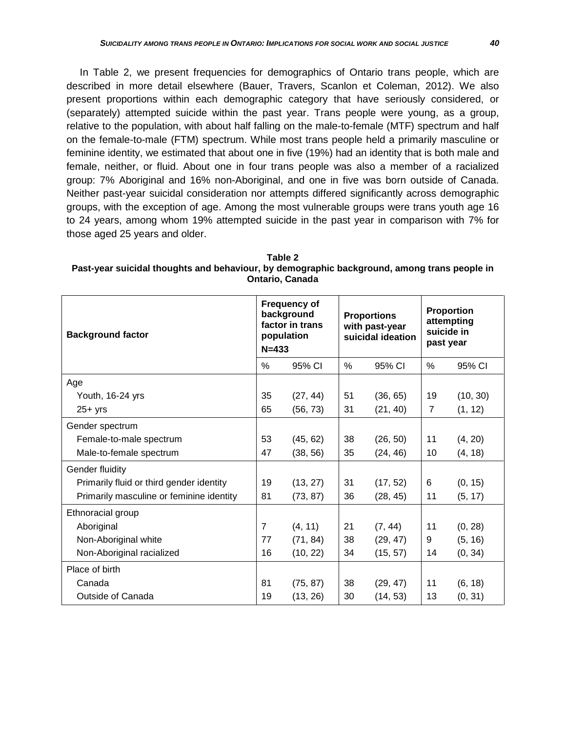In Table 2, we present frequencies for demographics of Ontario trans people, which are described in more detail elsewhere (Bauer, Travers, Scanlon et Coleman, 2012). We also present proportions within each demographic category that have seriously considered, or (separately) attempted suicide within the past year. Trans people were young, as a group, relative to the population, with about half falling on the male-to-female (MTF) spectrum and half on the female-to-male (FTM) spectrum. While most trans people held a primarily masculine or feminine identity, we estimated that about one in five (19%) had an identity that is both male and female, neither, or fluid. About one in four trans people was also a member of a racialized group: 7% Aboriginal and 16% non-Aboriginal, and one in five was born outside of Canada. Neither past-year suicidal consideration nor attempts differed significantly across demographic groups, with the exception of age. Among the most vulnerable groups were trans youth age 16 to 24 years, among whom 19% attempted suicide in the past year in comparison with 7% for those aged 25 years and older.

| Table 2                                                                                     |
|---------------------------------------------------------------------------------------------|
| Past-year suicidal thoughts and behaviour, by demographic background, among trans people in |
| <b>Ontario, Canada</b>                                                                      |

| <b>Background factor</b>                 |    | <b>Frequency of</b><br>background<br>factor in trans<br>population<br>$N = 433$ |    | <b>Proportions</b><br>with past-year<br>suicidal ideation |                | Proportion<br>attempting<br>suicide in<br>past year |  |
|------------------------------------------|----|---------------------------------------------------------------------------------|----|-----------------------------------------------------------|----------------|-----------------------------------------------------|--|
|                                          | %  | 95% CI                                                                          | %  | 95% CI                                                    | %              | 95% CI                                              |  |
| Age                                      |    |                                                                                 |    |                                                           |                |                                                     |  |
| Youth, 16-24 yrs                         | 35 | (27, 44)                                                                        | 51 | (36, 65)                                                  | 19             | (10, 30)                                            |  |
| $25+$ yrs                                | 65 | (56, 73)                                                                        | 31 | (21, 40)                                                  | $\overline{7}$ | (1, 12)                                             |  |
| Gender spectrum                          |    |                                                                                 |    |                                                           |                |                                                     |  |
| Female-to-male spectrum                  | 53 | (45, 62)                                                                        | 38 | (26, 50)                                                  | 11             | (4, 20)                                             |  |
| Male-to-female spectrum                  | 47 | (38, 56)                                                                        | 35 | (24, 46)                                                  | 10             | (4, 18)                                             |  |
| Gender fluidity                          |    |                                                                                 |    |                                                           |                |                                                     |  |
| Primarily fluid or third gender identity | 19 | (13, 27)                                                                        | 31 | (17, 52)                                                  | 6              | (0, 15)                                             |  |
| Primarily masculine or feminine identity | 81 | (73, 87)                                                                        | 36 | (28, 45)                                                  | 11             | (5, 17)                                             |  |
| Ethnoracial group                        |    |                                                                                 |    |                                                           |                |                                                     |  |
| Aboriginal                               | 7  | (4, 11)                                                                         | 21 | (7, 44)                                                   | 11             | (0, 28)                                             |  |
| Non-Aboriginal white                     | 77 | (71, 84)                                                                        | 38 | (29, 47)                                                  | 9              | (5, 16)                                             |  |
| Non-Aboriginal racialized                | 16 | (10, 22)                                                                        | 34 | (15, 57)                                                  | 14             | (0, 34)                                             |  |
| Place of birth                           |    |                                                                                 |    |                                                           |                |                                                     |  |
| Canada                                   | 81 | (75, 87)                                                                        | 38 | (29, 47)                                                  | 11             | (6, 18)                                             |  |
| Outside of Canada                        | 19 | (13, 26)                                                                        | 30 | (14, 53)                                                  | 13             | (0, 31)                                             |  |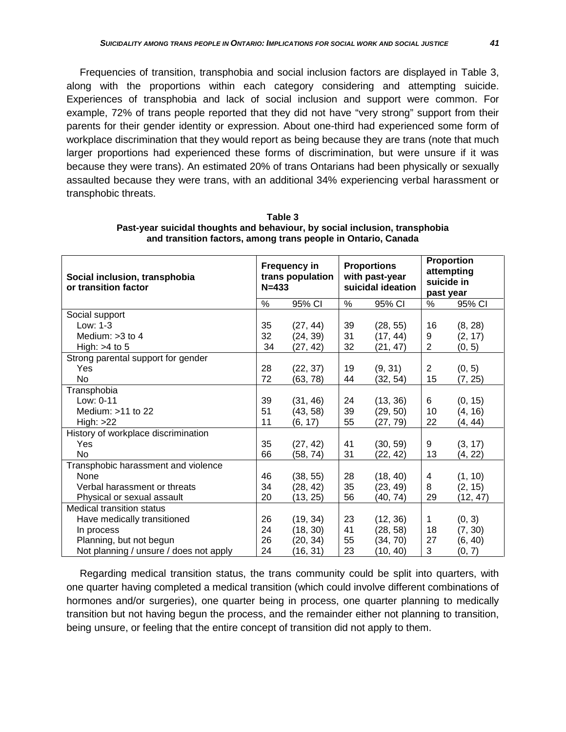Frequencies of transition, transphobia and social inclusion factors are displayed in Table 3, along with the proportions within each category considering and attempting suicide. Experiences of transphobia and lack of social inclusion and support were common. For example, 72% of trans people reported that they did not have "very strong" support from their parents for their gender identity or expression. About one-third had experienced some form of workplace discrimination that they would report as being because they are trans (note that much larger proportions had experienced these forms of discrimination, but were unsure if it was because they were trans). An estimated 20% of trans Ontarians had been physically or sexually assaulted because they were trans, with an additional 34% experiencing verbal harassment or transphobic threats.

| Social inclusion, transphobia<br>or transition factor | <b>Frequency in</b><br>trans population<br>$N = 433$ |          | <b>Proportions</b><br>with past-year<br>suicidal ideation |          | <b>Proportion</b><br>attempting<br>suicide in<br>past year |          |
|-------------------------------------------------------|------------------------------------------------------|----------|-----------------------------------------------------------|----------|------------------------------------------------------------|----------|
|                                                       | %                                                    | 95% CI   | %                                                         | 95% CI   | %                                                          | 95% CI   |
| Social support                                        |                                                      |          |                                                           |          |                                                            |          |
| Low: 1-3                                              | 35                                                   | (27, 44) | 39                                                        | (28, 55) | 16                                                         | (8, 28)  |
| Medium: > 3 to 4                                      | 32                                                   | (24, 39) | 31                                                        | (17, 44) | 9                                                          | (2, 17)  |
| High: $>4$ to 5                                       | 34                                                   | (27, 42) | 32                                                        | (21, 47) | $\overline{c}$                                             | (0, 5)   |
| Strong parental support for gender                    |                                                      |          |                                                           |          |                                                            |          |
| Yes                                                   | 28                                                   | (22, 37) | 19                                                        | (9, 31)  | $\overline{2}$                                             | (0, 5)   |
| No.                                                   | 72                                                   | (63, 78) | 44                                                        | (32, 54) | 15                                                         | (7, 25)  |
| Transphobia                                           |                                                      |          |                                                           |          |                                                            |          |
| Low: 0-11                                             | 39                                                   | (31, 46) | 24                                                        | (13, 36) | 6                                                          | (0, 15)  |
| Medium: $>11$ to 22                                   | 51                                                   | (43, 58) | 39                                                        | (29, 50) | 10                                                         | (4, 16)  |
| High: >22                                             | 11                                                   | (6, 17)  | 55                                                        | (27, 79) | 22                                                         | (4, 44)  |
| History of workplace discrimination                   |                                                      |          |                                                           |          |                                                            |          |
| Yes                                                   | 35                                                   | (27, 42) | 41                                                        | (30, 59) | 9                                                          | (3, 17)  |
| <b>No</b>                                             | 66                                                   | (58, 74) | 31                                                        | (22, 42) | 13                                                         | (4, 22)  |
| Transphobic harassment and violence                   |                                                      |          |                                                           |          |                                                            |          |
| None                                                  | 46                                                   | (38, 55) | 28                                                        | (18, 40) | 4                                                          | (1, 10)  |
| Verbal harassment or threats                          | 34                                                   | (28, 42) | 35                                                        | (23, 49) | 8                                                          | (2, 15)  |
| Physical or sexual assault                            | 20                                                   | (13, 25) | 56                                                        | (40, 74) | 29                                                         | (12, 47) |
| <b>Medical transition status</b>                      |                                                      |          |                                                           |          |                                                            |          |
| Have medically transitioned                           | 26                                                   | (19, 34) | 23                                                        | (12, 36) | 1                                                          | (0, 3)   |
| In process                                            | 24                                                   | (18, 30) | 41                                                        | (28, 58) | 18                                                         | (7, 30)  |
| Planning, but not begun                               | 26                                                   | (20, 34) | 55                                                        | (34, 70) | 27                                                         | (6, 40)  |
| Not planning / unsure / does not apply                | 24                                                   | (16, 31) | 23                                                        | (10, 40) | 3                                                          | (0, 7)   |

**Table 3 Past-year suicidal thoughts and behaviour, by social inclusion, transphobia and transition factors, among trans people in Ontario, Canada**

Regarding medical transition status, the trans community could be split into quarters, with one quarter having completed a medical transition (which could involve different combinations of hormones and/or surgeries), one quarter being in process, one quarter planning to medically transition but not having begun the process, and the remainder either not planning to transition, being unsure, or feeling that the entire concept of transition did not apply to them.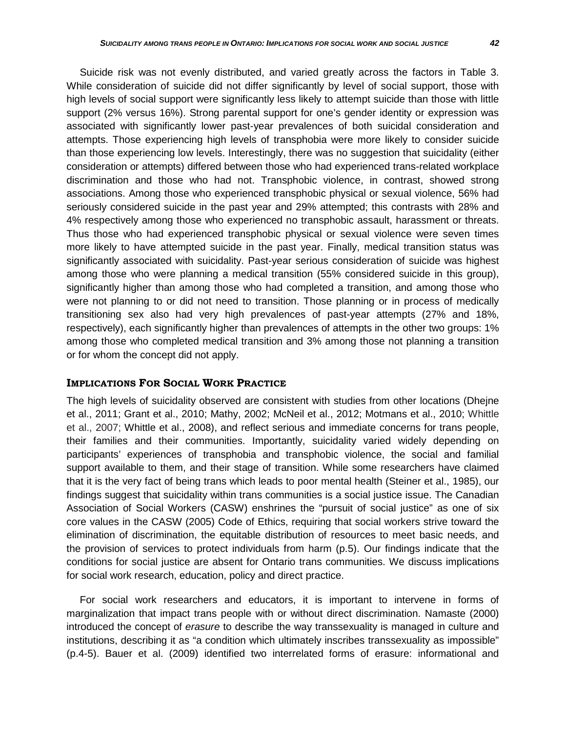Suicide risk was not evenly distributed, and varied greatly across the factors in Table 3. While consideration of suicide did not differ significantly by level of social support, those with high levels of social support were significantly less likely to attempt suicide than those with little support (2% versus 16%). Strong parental support for one's gender identity or expression was associated with significantly lower past-year prevalences of both suicidal consideration and attempts. Those experiencing high levels of transphobia were more likely to consider suicide than those experiencing low levels. Interestingly, there was no suggestion that suicidality (either consideration or attempts) differed between those who had experienced trans-related workplace discrimination and those who had not. Transphobic violence, in contrast, showed strong associations. Among those who experienced transphobic physical or sexual violence, 56% had seriously considered suicide in the past year and 29% attempted; this contrasts with 28% and 4% respectively among those who experienced no transphobic assault, harassment or threats. Thus those who had experienced transphobic physical or sexual violence were seven times more likely to have attempted suicide in the past year. Finally, medical transition status was significantly associated with suicidality. Past-year serious consideration of suicide was highest among those who were planning a medical transition (55% considered suicide in this group), significantly higher than among those who had completed a transition, and among those who were not planning to or did not need to transition. Those planning or in process of medically transitioning sex also had very high prevalences of past-year attempts (27% and 18%, respectively), each significantly higher than prevalences of attempts in the other two groups: 1% among those who completed medical transition and 3% among those not planning a transition or for whom the concept did not apply.

### **IMPLICATIONS FOR SOCIAL WORK PRACTICE**

The high levels of suicidality observed are consistent with studies from other locations (Dhejne et al., 2011; Grant et al., 2010; Mathy, 2002; McNeil et al., 2012; Motmans et al., 2010; Whittle et al., 2007; Whittle et al., 2008), and reflect serious and immediate concerns for trans people, their families and their communities. Importantly, suicidality varied widely depending on participants' experiences of transphobia and transphobic violence, the social and familial support available to them, and their stage of transition. While some researchers have claimed that it is the very fact of being trans which leads to poor mental health (Steiner et al., 1985), our findings suggest that suicidality within trans communities is a social justice issue. The Canadian Association of Social Workers (CASW) enshrines the "pursuit of social justice" as one of six core values in the CASW (2005) Code of Ethics, requiring that social workers strive toward the elimination of discrimination, the equitable distribution of resources to meet basic needs, and the provision of services to protect individuals from harm (p.5). Our findings indicate that the conditions for social justice are absent for Ontario trans communities. We discuss implications for social work research, education, policy and direct practice.

For social work researchers and educators, it is important to intervene in forms of marginalization that impact trans people with or without direct discrimination. Namaste (2000) introduced the concept of *erasure* to describe the way transsexuality is managed in culture and institutions, describing it as "a condition which ultimately inscribes transsexuality as impossible" (p.4-5). Bauer et al. (2009) identified two interrelated forms of erasure: informational and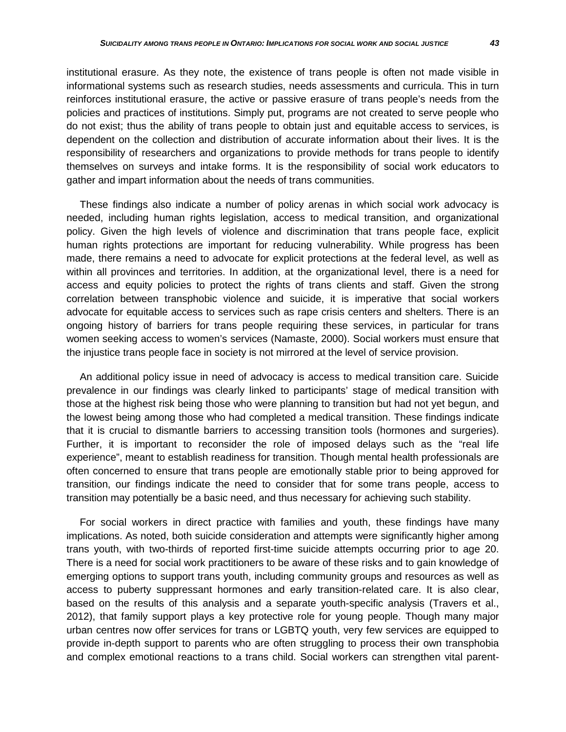informational systems such as research studies, needs assessments and curricula. This in turn reinforces institutional erasure, the active or passive erasure of trans people's needs from the policies and practices of institutions. Simply put, programs are not created to serve people who do not exist; thus the ability of trans people to obtain just and equitable access to services, is dependent on the collection and distribution of accurate information about their lives. It is the responsibility of researchers and organizations to provide methods for trans people to identify themselves on surveys and intake forms. It is the responsibility of social work educators to gather and impart information about the needs of trans communities.

These findings also indicate a number of policy arenas in which social work advocacy is needed, including human rights legislation, access to medical transition, and organizational policy. Given the high levels of violence and discrimination that trans people face, explicit human rights protections are important for reducing vulnerability. While progress has been made, there remains a need to advocate for explicit protections at the federal level, as well as within all provinces and territories. In addition, at the organizational level, there is a need for access and equity policies to protect the rights of trans clients and staff. Given the strong correlation between transphobic violence and suicide, it is imperative that social workers advocate for equitable access to services such as rape crisis centers and shelters. There is an ongoing history of barriers for trans people requiring these services, in particular for trans women seeking access to women's services (Namaste, 2000). Social workers must ensure that the injustice trans people face in society is not mirrored at the level of service provision.

An additional policy issue in need of advocacy is access to medical transition care. Suicide prevalence in our findings was clearly linked to participants' stage of medical transition with those at the highest risk being those who were planning to transition but had not yet begun, and the lowest being among those who had completed a medical transition. These findings indicate that it is crucial to dismantle barriers to accessing transition tools (hormones and surgeries). Further, it is important to reconsider the role of imposed delays such as the "real life experience", meant to establish readiness for transition. Though mental health professionals are often concerned to ensure that trans people are emotionally stable prior to being approved for transition, our findings indicate the need to consider that for some trans people, access to transition may potentially be a basic need, and thus necessary for achieving such stability.

For social workers in direct practice with families and youth, these findings have many implications. As noted, both suicide consideration and attempts were significantly higher among trans youth, with two-thirds of reported first-time suicide attempts occurring prior to age 20. There is a need for social work practitioners to be aware of these risks and to gain knowledge of emerging options to support trans youth, including community groups and resources as well as access to puberty suppressant hormones and early transition-related care. It is also clear, based on the results of this analysis and a separate youth-specific analysis (Travers et al., 2012), that family support plays a key protective role for young people. Though many major urban centres now offer services for trans or LGBTQ youth, very few services are equipped to provide in-depth support to parents who are often struggling to process their own transphobia and complex emotional reactions to a trans child. Social workers can strengthen vital parent-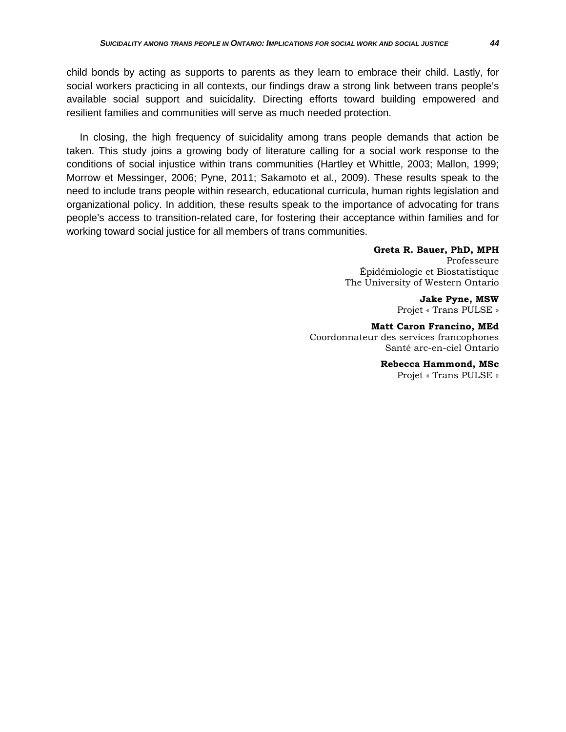child bonds by acting as supports to parents as they learn to embrace their child. Lastly, for social workers practicing in all contexts, our findings draw a strong link between trans people's available social support and suicidality. Directing efforts toward building empowered and resilient families and communities will serve as much needed protection.

In closing, the high frequency of suicidality among trans people demands that action be taken. This study joins a growing body of literature calling for a social work response to the conditions of social injustice within trans communities (Hartley et Whittle, 2003; Mallon, 1999; Morrow et Messinger, 2006; Pyne, 2011; Sakamoto et al., 2009). These results speak to the need to include trans people within research, educational curricula, human rights legislation and organizational policy. In addition, these results speak to the importance of advocating for trans people's access to transition-related care, for fostering their acceptance within families and for working toward social justice for all members of trans communities.

### **Greta R. Bauer, PhD, MPH**

Professeure Épidémiologie et Biostatistique The University of Western Ontario

> **Jake Pyne, MSW** Projet « Trans PULSE »

**Matt Caron Francino, MEd** Coordonnateur des services francophones Santé arc-en-ciel Ontario

> **Rebecca Hammond, MSc** Projet « Trans PULSE »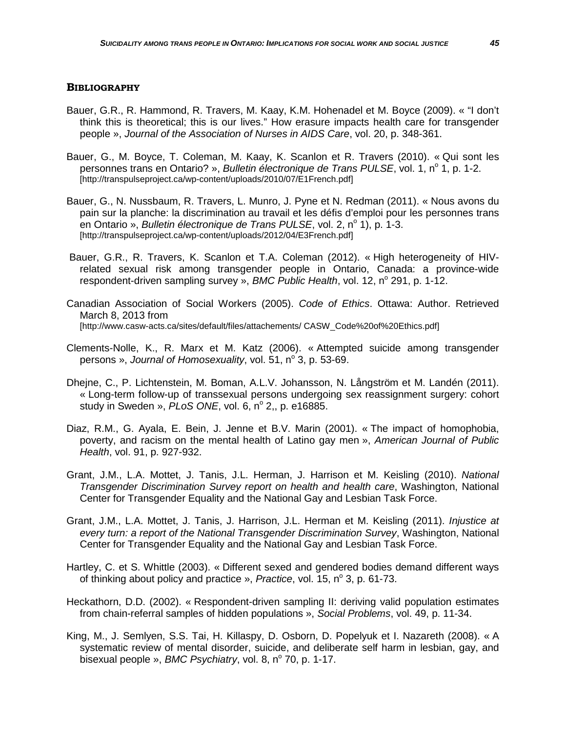#### **BIBLIOGRAPHY**

- Bauer, G.R., R. Hammond, R. Travers, M. Kaay, K.M. Hohenadel et M. Boyce (2009). « "I don't think this is theoretical; this is our lives." How erasure impacts health care for transgender people », *Journal of the Association of Nurses in AIDS Care*, vol. 20, p. 348-361.
- Bauer, G., M. Boyce, T. Coleman, M. Kaay, K. Scanlon et R. Travers (2010). « Qui sont les personnes trans en Ontario? », *Bulletin électronique de Trans PULSE*, vol. 1, n<sup>o</sup> 1, p. 1-2. [http://transpulseproject.ca/wp-content/uploads/2010/07/E1French.pdf]
- Bauer, G., N. Nussbaum, R. Travers, L. Munro, J. Pyne et N. Redman (2011). « Nous avons du pain sur la planche: la discrimination au travail et les défis d'emploi pour les personnes trans en Ontario », *Bulletin électronique de Trans PULSE*, vol. 2, n<sup>o</sup> 1), p. 1-3. [http://transpulseproject.ca/wp-content/uploads/2012/04/E3French.pdf]
- Bauer, G.R., R. Travers, K. Scanlon et T.A. Coleman (2012). « High heterogeneity of HIVrelated sexual risk among transgender people in Ontario, Canada: a province-wide respondent-driven sampling survey », *BMC Public Health*, vol. 12, n° 291, p. 1-12.
- Canadian Association of Social Workers (2005). *Code of Ethics*. Ottawa: Author. Retrieved March 8, 2013 from [\[http://www.casw-acts.ca/sites/default/files/attachements/ CASW\\_Code%20of%20Ethics.pdf\]](http://www.casw-acts.ca/sites/default/files/attachements/%20CASW_Code%20of%20Ethics.pdf)
- Clements-Nolle, K., R. Marx et M. Katz (2006). « Attempted suicide among transgender persons », *Journal of Homosexuality*, vol. 51, n° 3, p. 53-69.
- Dhejne, C., P. Lichtenstein, M. Boman, A.L.V. Johansson, N. Långström et M. Landén (2011). « Long-term follow-up of transsexual persons undergoing sex reassignment surgery: cohort study in Sweden », *PLoS ONE*, vol. 6, nº 2,, p. e16885.
- Diaz, R.M., G. Ayala, E. Bein, J. Jenne et B.V. Marin (2001). « The impact of homophobia, poverty, and racism on the mental health of Latino gay men », *American Journal of Public Health*, vol. 91, p. 927-932.
- Grant, J.M., L.A. Mottet, J. Tanis, J.L. Herman, J. Harrison et M. Keisling (2010). *National Transgender Discrimination Survey report on health and health care*, Washington, National Center for Transgender Equality and the National Gay and Lesbian Task Force.
- Grant, J.M., L.A. Mottet, J. Tanis, J. Harrison, J.L. Herman et M. Keisling (2011). *Injustice at every turn: a report of the National Transgender Discrimination Survey*, Washington, National Center for Transgender Equality and the National Gay and Lesbian Task Force.
- Hartley, C. et S. Whittle (2003). « Different sexed and gendered bodies demand different ways of thinking about policy and practice », *Practice*, vol. 15, n<sup>o</sup> 3, p. 61-73.
- Heckathorn, D.D. (2002). « Respondent-driven sampling II: deriving valid population estimates from chain-referral samples of hidden populations », *Social Problems*, vol. 49, p. 11-34.
- King, M., J. Semlyen, S.S. Tai, H. Killaspy, D. Osborn, D. Popelyuk et I. Nazareth (2008). « A systematic review of mental disorder, suicide, and deliberate self harm in lesbian, gay, and bisexual people », *BMC Psychiatry*, vol. 8, n<sup>o</sup> 70, p. 1-17.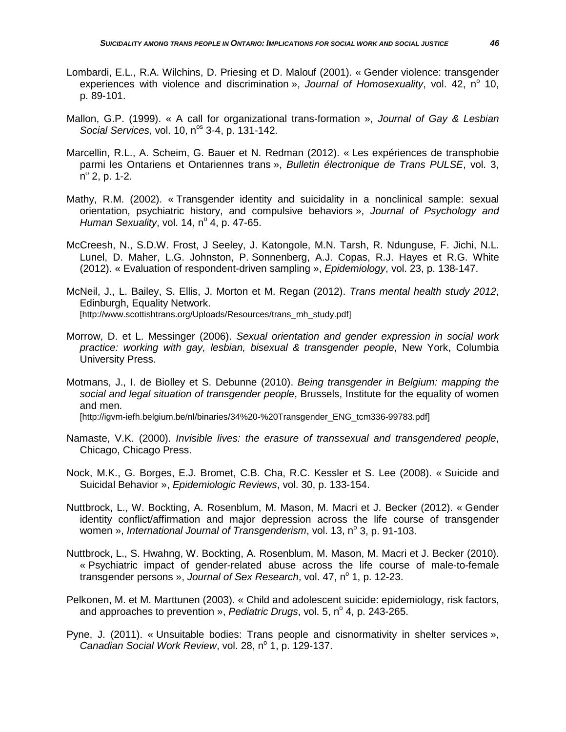- Lombardi, E.L., R.A. Wilchins, D. Priesing et D. Malouf (2001). « Gender violence: transgender experiences with violence and discrimination », *Journal of Homosexuality*, vol. 42, n<sup>o</sup> 10, p. 89-101.
- Mallon, G.P. (1999). « A call for organizational trans-formation », *Journal of Gay & Lesbian Social Services, vol.* 10, n<sup>os</sup> 3-4, p. 131-142.
- Marcellin, R.L., A. Scheim, G. Bauer et N. Redman (2012). « Les expériences de transphobie parmi les Ontariens et Ontariennes trans », *Bulletin électronique de Trans PULSE*, vol. 3,  $n^{\circ}$  2, p. 1-2.
- Mathy, R.M. (2002). « Transgender identity and suicidality in a nonclinical sample: sexual orientation, psychiatric history, and compulsive behaviors », *Journal of Psychology and Human Sexuality*, vol. 14,  $n^{\circ}$  4, p. 47-65.
- McCreesh, N., S.D.W. Frost, J Seeley, J. Katongole, M.N. Tarsh, R. Ndunguse, F. Jichi, N.L. Lunel, D. Maher, L.G. Johnston, P. Sonnenberg, A.J. Copas, R.J. Hayes et R.G. White (2012). « Evaluation of respondent-driven sampling », *Epidemiology*, vol. 23, p. 138-147.
- McNeil, J., L. Bailey, S. Ellis, J. Morton et M. Regan (2012). *Trans mental health study 2012*, Edinburgh, Equality Network. [http://www.scottishtrans.org/Uploads/Resources/trans\_mh\_study.pdf]
- Morrow, D. et L. Messinger (2006). *Sexual orientation and gender expression in social work practice: working with gay, lesbian, bisexual & transgender people*, New York, Columbia University Press.
- Motmans, J., I. de Biolley et S. Debunne (2010). *Being transgender in Belgium: mapping the social and legal situation of transgender people*, Brussels, Institute for the equality of women and men. [http://igvm-iefh.belgium.be/nl/binaries/34%20-%20Transgender\_ENG\_tcm336-99783.pdf]
- Namaste, V.K. (2000). *Invisible lives: the erasure of transsexual and transgendered people*, Chicago, Chicago Press.
- Nock, M.K., G. Borges, E.J. Bromet, C.B. Cha, R.C. Kessler et S. Lee (2008). « Suicide and Suicidal Behavior », *Epidemiologic Reviews*, vol. 30, p. 133-154.
- Nuttbrock, L., W. Bockting, A. Rosenblum, M. Mason, M. Macri et J. Becker (2012). « Gender identity conflict/affirmation and major depression across the life course of transgender women », *International Journal of Transgenderism*, vol. 13, n° 3, p. 91-103.
- Nuttbrock, L., S. Hwahng, W. Bockting, A. Rosenblum, M. Mason, M. Macri et J. Becker (2010). « Psychiatric impact of gender-related abuse across the life course of male-to-female transgender persons », *Journal of Sex Research*, vol. 47, n<sup>o</sup> 1, p. 12-23.
- Pelkonen, M. et M. Marttunen (2003). « Child and adolescent suicide: epidemiology, risk factors, and approaches to prevention », *Pediatric Drugs*, vol. 5, n<sup>o</sup> 4, p. 243-265.
- Pyne, J. (2011). « Unsuitable bodies: Trans people and cisnormativity in shelter services », *Canadian Social Work Review, vol. 28, n<sup>o</sup> 1, p. 129-137.*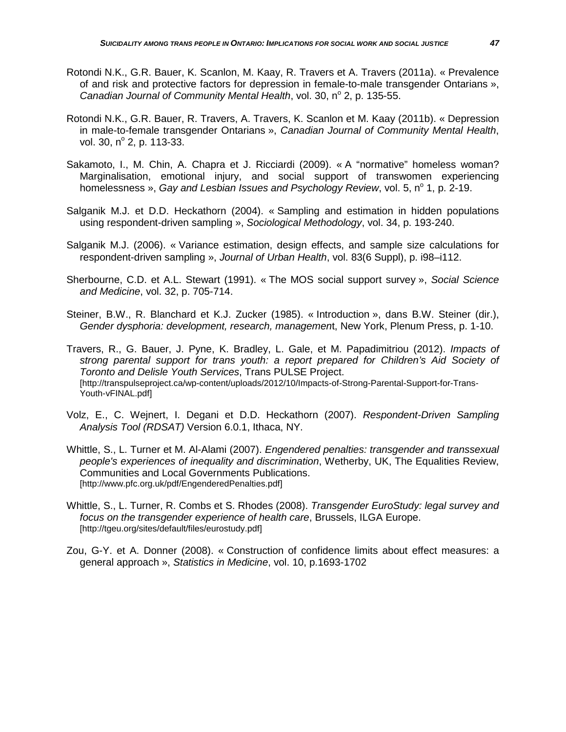- Rotondi N.K., G.R. Bauer, K. Scanlon, M. Kaay, R. Travers et A. Travers (2011a). « Prevalence of and risk and protective factors for depression in female-to-male transgender Ontarians », *Canadian Journal of Community Mental Health, vol.* 30, n<sup>o</sup> 2, p. 135-55.
- Rotondi N.K., G.R. Bauer, R. Travers, A. Travers, K. Scanlon et M. Kaay (2011b). « Depression in male-to-female transgender Ontarians », *Canadian Journal of Community Mental Health*, vol. 30,  $n^{\circ}$  2, p. 113-33.
- Sakamoto, I., M. Chin, A. Chapra et J. Ricciardi (2009). « A "normative" homeless woman? Marginalisation, emotional injury, and social support of transwomen experiencing homelessness », *Gay and Lesbian Issues and Psychology Review*, vol. 5, n<sup>o</sup> 1, p. 2-19.
- Salganik M.J. et D.D. Heckathorn (2004). « Sampling and estimation in hidden populations using respondent-driven sampling », *Sociological Methodology*, vol. 34, p. 193-240.
- Salganik M.J. (2006). « Variance estimation, design effects, and sample size calculations for respondent-driven sampling », *Journal of Urban Health*, vol. 83(6 Suppl), p. i98–i112.
- Sherbourne, C.D. et A.L. Stewart (1991). « The MOS social support survey », *Social Science and Medicine*, vol. 32, p. 705-714.
- Steiner, B.W., R. Blanchard et K.J. Zucker (1985). « Introduction », dans B.W. Steiner (dir.), *Gender dysphoria: development, research, managemen*t, New York, Plenum Press, p. 1-10.
- Travers, R., G. Bauer, J. Pyne, K. Bradley, L. Gale, et M. Papadimitriou (2012). *Impacts of strong parental support for trans youth: a report prepared for Children's Aid Society of Toronto and Delisle Youth Services*, Trans PULSE Project. [http://transpulseproject.ca/wp-content/uploads/2012/10/Impacts-of-Strong-Parental-Support-for-Trans-Youth-vFINAL.pdf]
- Volz, E., C. Wejnert, I. Degani et D.D. Heckathorn (2007). *Respondent-Driven Sampling Analysis Tool (RDSAT)* Version 6.0.1, Ithaca, NY.
- Whittle, S., L. Turner et M. Al-Alami (2007). *Engendered penalties: transgender and transsexual people's experiences of inequality and discrimination*, Wetherby, UK, The Equalities Review, Communities and Local Governments Publications. [http://www.pfc.org.uk/pdf/EngenderedPenalties.pdf]
- Whittle, S., L. Turner, R. Combs et S. Rhodes (2008). *Transgender EuroStudy: legal survey and focus on the transgender experience of health care*, Brussels, ILGA Europe. [http://tgeu.org/sites/default/files/eurostudy.pdf]
- Zou, G-Y. et A. Donner (2008). « Construction of confidence limits about effect measures: a general approach », *Statistics in Medicine*, vol. 10, p.1693-1702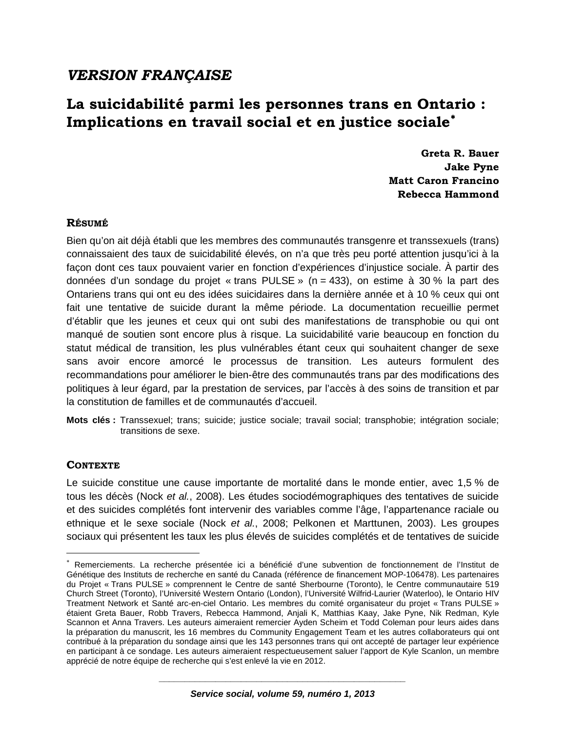## *VERSION FRANÇAISE*

# **La suicidabilité parmi les personnes trans en Ontario :**  Implications en travail social et en justice sociale<sup>[∗](#page-15-0)</sup>

**Greta R. Bauer Jake Pyne Matt Caron Francino Rebecca Hammond**

## **RÉSUMÉ**

Bien qu'on ait déjà établi que les membres des communautés transgenre et transsexuels (trans) connaissaient des taux de suicidabilité élevés, on n'a que très peu porté attention jusqu'ici à la façon dont ces taux pouvaient varier en fonction d'expériences d'injustice sociale. À partir des données d'un sondage du projet « trans PULSE » (n = 433), on estime à 30 % la part des Ontariens trans qui ont eu des idées suicidaires dans la dernière année et à 10 % ceux qui ont fait une tentative de suicide durant la même période. La documentation recueillie permet d'établir que les jeunes et ceux qui ont subi des manifestations de transphobie ou qui ont manqué de soutien sont encore plus à risque. La suicidabilité varie beaucoup en fonction du statut médical de transition, les plus vulnérables étant ceux qui souhaitent changer de sexe sans avoir encore amorcé le processus de transition. Les auteurs formulent des recommandations pour améliorer le bien-être des communautés trans par des modifications des politiques à leur égard, par la prestation de services, par l'accès à des soins de transition et par la constitution de familles et de communautés d'accueil.

**Mots clés :** Transsexuel; trans; suicide; justice sociale; travail social; transphobie; intégration sociale; transitions de sexe.

## **CONTEXTE**

 $\overline{a}$ 

Le suicide constitue une cause importante de mortalité dans le monde entier, avec 1,5 % de tous les décès (Nock *et al.*, 2008). Les études sociodémographiques des tentatives de suicide et des suicides complétés font intervenir des variables comme l'âge, l'appartenance raciale ou ethnique et le sexe sociale (Nock *et al.*, 2008; Pelkonen et Marttunen, 2003). Les groupes sociaux qui présentent les taux les plus élevés de suicides complétés et de tentatives de suicide

<span id="page-15-0"></span><sup>∗</sup> Remerciements. La recherche présentée ici a bénéficié d'une subvention de fonctionnement de l'Institut de Génétique des Instituts de recherche en santé du Canada (référence de financement MOP-106478). Les partenaires du Projet « Trans PULSE » comprennent le Centre de santé Sherbourne (Toronto), le Centre communautaire 519 Church Street (Toronto), l'Université Western Ontario (London), l'Université Wilfrid-Laurier (Waterloo), le Ontario HIV Treatment Network et Santé arc-en-ciel Ontario. Les membres du comité organisateur du projet « Trans PULSE » étaient Greta Bauer, Robb Travers, Rebecca Hammond, Anjali K, Matthias Kaay, Jake Pyne, Nik Redman, Kyle Scannon et Anna Travers. Les auteurs aimeraient remercier Ayden Scheim et Todd Coleman pour leurs aides dans la préparation du manuscrit, les 16 membres du Community Engagement Team et les autres collaborateurs qui ont contribué à la préparation du sondage ainsi que les 143 personnes trans qui ont accepté de partager leur expérience en participant à ce sondage. Les auteurs aimeraient respectueusement saluer l'apport de Kyle Scanlon, un membre apprécié de notre équipe de recherche qui s'est enlevé la vie en 2012.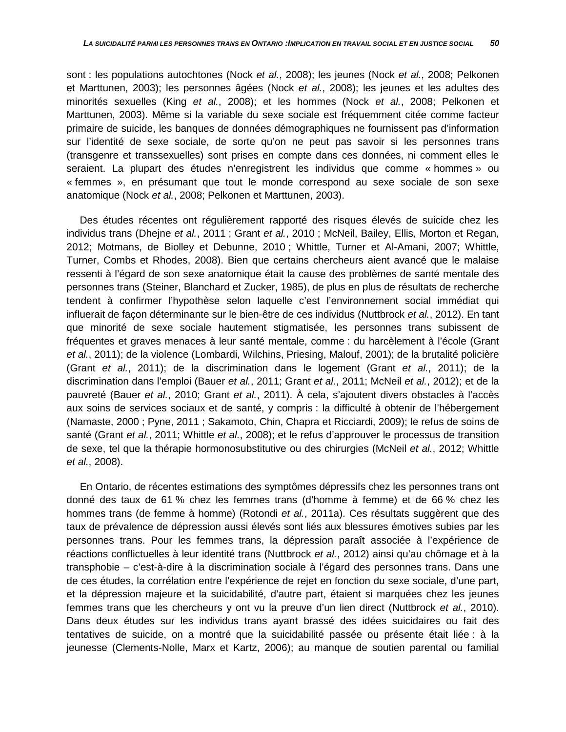sont : les populations autochtones (Nock *et al.*, 2008); les jeunes (Nock *et al.*, 2008; Pelkonen et Marttunen, 2003); les personnes âgées (Nock *et al.*, 2008); les jeunes et les adultes des minorités sexuelles (King *et al.*, 2008); et les hommes (Nock *et al.*, 2008; Pelkonen et Marttunen, 2003). Même si la variable du sexe sociale est fréquemment citée comme facteur primaire de suicide, les banques de données démographiques ne fournissent pas d'information sur l'identité de sexe sociale, de sorte qu'on ne peut pas savoir si les personnes trans (transgenre et transsexuelles) sont prises en compte dans ces données, ni comment elles le seraient. La plupart des études n'enregistrent les individus que comme « hommes » ou « femmes », en présumant que tout le monde correspond au sexe sociale de son sexe anatomique (Nock *et al.*, 2008; Pelkonen et Marttunen, 2003).

Des études récentes ont régulièrement rapporté des risques élevés de suicide chez les individus trans (Dhejne *et al.*, 2011 ; Grant *et al.*, 2010 ; McNeil, Bailey, Ellis, Morton et Regan, 2012; Motmans, de Biolley et Debunne, 2010 ; Whittle, Turner et Al-Amani, 2007; Whittle, Turner, Combs et Rhodes, 2008). Bien que certains chercheurs aient avancé que le malaise ressenti à l'égard de son sexe anatomique était la cause des problèmes de santé mentale des personnes trans (Steiner, Blanchard et Zucker, 1985), de plus en plus de résultats de recherche tendent à confirmer l'hypothèse selon laquelle c'est l'environnement social immédiat qui influerait de façon déterminante sur le bien-être de ces individus (Nuttbrock *et al.*, 2012). En tant que minorité de sexe sociale hautement stigmatisée, les personnes trans subissent de fréquentes et graves menaces à leur santé mentale, comme : du harcèlement à l'école (Grant *et al.*, 2011); de la violence (Lombardi, Wilchins, Priesing, Malouf, 2001); de la brutalité policière (Grant *et al.*, 2011); de la discrimination dans le logement (Grant *et al.*, 2011); de la discrimination dans l'emploi (Bauer *et al.*, 2011; Grant *et al.*, 2011; McNeil *et al.*, 2012); et de la pauvreté (Bauer *et al.*, 2010; Grant *et al.*, 2011). À cela, s'ajoutent divers obstacles à l'accès aux soins de services sociaux et de santé, y compris : la difficulté à obtenir de l'hébergement (Namaste, 2000 ; Pyne, 2011 ; Sakamoto, Chin, Chapra et Ricciardi, 2009); le refus de soins de santé (Grant *et al.*, 2011; Whittle *et al.*, 2008); et le refus d'approuver le processus de transition de sexe, tel que la thérapie hormonosubstitutive ou des chirurgies (McNeil *et al.*, 2012; Whittle *et al.*, 2008).

En Ontario, de récentes estimations des symptômes dépressifs chez les personnes trans ont donné des taux de 61 % chez les femmes trans (d'homme à femme) et de 66 % chez les hommes trans (de femme à homme) (Rotondi *et al.*, 2011a). Ces résultats suggèrent que des taux de prévalence de dépression aussi élevés sont liés aux blessures émotives subies par les personnes trans. Pour les femmes trans, la dépression paraît associée à l'expérience de réactions conflictuelles à leur identité trans (Nuttbrock *et al.*, 2012) ainsi qu'au chômage et à la transphobie – c'est-à-dire à la discrimination sociale à l'égard des personnes trans. Dans une de ces études, la corrélation entre l'expérience de rejet en fonction du sexe sociale, d'une part, et la dépression majeure et la suicidabilité, d'autre part, étaient si marquées chez les jeunes femmes trans que les chercheurs y ont vu la preuve d'un lien direct (Nuttbrock *et al.*, 2010). Dans deux études sur les individus trans ayant brassé des idées suicidaires ou fait des tentatives de suicide, on a montré que la suicidabilité passée ou présente était liée : à la jeunesse (Clements-Nolle, Marx et Kartz, 2006); au manque de soutien parental ou familial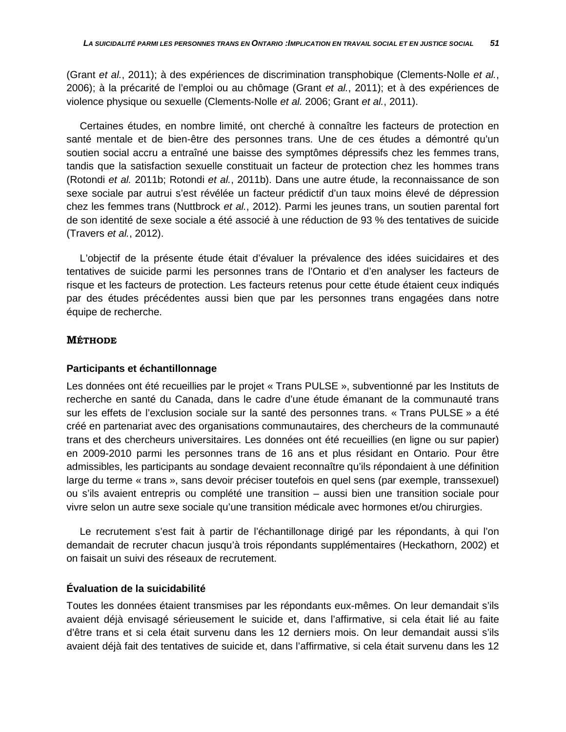(Grant *et al.*, 2011); à des expériences de discrimination transphobique (Clements-Nolle *et al.*, 2006); à la précarité de l'emploi ou au chômage (Grant *et al.*, 2011); et à des expériences de violence physique ou sexuelle (Clements-Nolle *et al.* 2006; Grant *et al.*, 2011).

Certaines études, en nombre limité, ont cherché à connaître les facteurs de protection en santé mentale et de bien-être des personnes trans. Une de ces études a démontré qu'un soutien social accru a entraîné une baisse des symptômes dépressifs chez les femmes trans, tandis que la satisfaction sexuelle constituait un facteur de protection chez les hommes trans (Rotondi *et al.* 2011b; Rotondi *et al.*, 2011b). Dans une autre étude, la reconnaissance de son sexe sociale par autrui s'est révélée un facteur prédictif d'un taux moins élevé de dépression chez les femmes trans (Nuttbrock *et al.*, 2012). Parmi les jeunes trans, un soutien parental fort de son identité de sexe sociale a été associé à une réduction de 93 % des tentatives de suicide (Travers *et al.*, 2012).

L'objectif de la présente étude était d'évaluer la prévalence des idées suicidaires et des tentatives de suicide parmi les personnes trans de l'Ontario et d'en analyser les facteurs de risque et les facteurs de protection. Les facteurs retenus pour cette étude étaient ceux indiqués par des études précédentes aussi bien que par les personnes trans engagées dans notre équipe de recherche.

### **MÉTHODE**

### **Participants et échantillonnage**

Les données ont été recueillies par le projet « Trans PULSE », subventionné par les Instituts de recherche en santé du Canada, dans le cadre d'une étude émanant de la communauté trans sur les effets de l'exclusion sociale sur la santé des personnes trans. « Trans PULSE » a été créé en partenariat avec des organisations communautaires, des chercheurs de la communauté trans et des chercheurs universitaires. Les données ont été recueillies (en ligne ou sur papier) en 2009-2010 parmi les personnes trans de 16 ans et plus résidant en Ontario. Pour être admissibles, les participants au sondage devaient reconnaître qu'ils répondaient à une définition large du terme « trans », sans devoir préciser toutefois en quel sens (par exemple, transsexuel) ou s'ils avaient entrepris ou complété une transition – aussi bien une transition sociale pour vivre selon un autre sexe sociale qu'une transition médicale avec hormones et/ou chirurgies.

Le recrutement s'est fait à partir de l'échantillonage dirigé par les répondants, à qui l'on demandait de recruter chacun jusqu'à trois répondants supplémentaires (Heckathorn, 2002) et on faisait un suivi des réseaux de recrutement.

### **Évaluation de la suicidabilité**

Toutes les données étaient transmises par les répondants eux-mêmes. On leur demandait s'ils avaient déjà envisagé sérieusement le suicide et, dans l'affirmative, si cela était lié au faite d'être trans et si cela était survenu dans les 12 derniers mois. On leur demandait aussi s'ils avaient déjà fait des tentatives de suicide et, dans l'affirmative, si cela était survenu dans les 12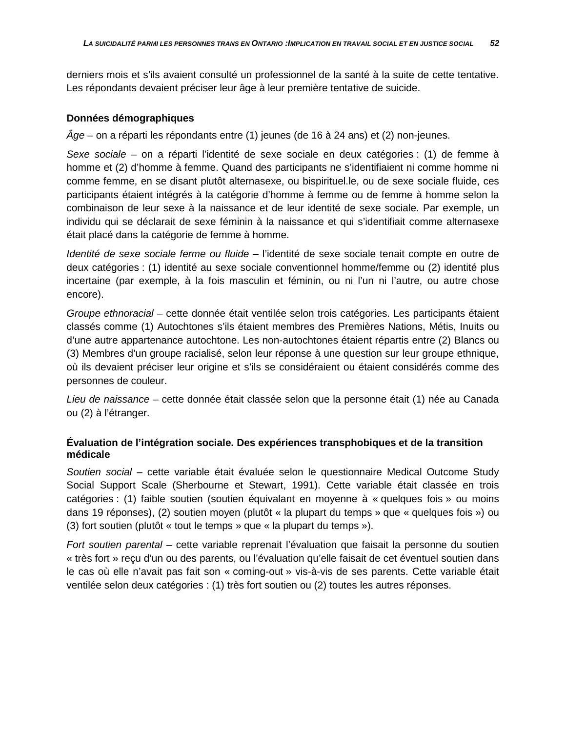derniers mois et s'ils avaient consulté un professionnel de la santé à la suite de cette tentative. Les répondants devaient préciser leur âge à leur première tentative de suicide.

### **Données démographiques**

*Âge* – on a réparti les répondants entre (1) jeunes (de 16 à 24 ans) et (2) non-jeunes.

*Sexe sociale* – on a réparti l'identité de sexe sociale en deux catégories : (1) de femme à homme et (2) d'homme à femme. Quand des participants ne s'identifiaient ni comme homme ni comme femme, en se disant plutôt alternasexe, ou bispirituel.le, ou de sexe sociale fluide, ces participants étaient intégrés à la catégorie d'homme à femme ou de femme à homme selon la combinaison de leur sexe à la naissance et de leur identité de sexe sociale. Par exemple, un individu qui se déclarait de sexe féminin à la naissance et qui s'identifiait comme alternasexe était placé dans la catégorie de femme à homme.

*Identité de sexe sociale ferme ou fluide* – l'identité de sexe sociale tenait compte en outre de deux catégories : (1) identité au sexe sociale conventionnel homme/femme ou (2) identité plus incertaine (par exemple, à la fois masculin et féminin, ou ni l'un ni l'autre, ou autre chose encore).

*Groupe ethnoracial* – cette donnée était ventilée selon trois catégories. Les participants étaient classés comme (1) Autochtones s'ils étaient membres des Premières Nations, Métis, Inuits ou d'une autre appartenance autochtone. Les non-autochtones étaient répartis entre (2) Blancs ou (3) Membres d'un groupe racialisé, selon leur réponse à une question sur leur groupe ethnique, où ils devaient préciser leur origine et s'ils se considéraient ou étaient considérés comme des personnes de couleur.

*Lieu de naissance* – cette donnée était classée selon que la personne était (1) née au Canada ou (2) à l'étranger.

## **Évaluation de l'intégration sociale. Des expériences transphobiques et de la transition médicale**

*Soutien social* – cette variable était évaluée selon le questionnaire Medical Outcome Study Social Support Scale (Sherbourne et Stewart, 1991). Cette variable était classée en trois catégories : (1) faible soutien (soutien équivalant en moyenne à « quelques fois » ou moins dans 19 réponses), (2) soutien moyen (plutôt « la plupart du temps » que « quelques fois ») ou (3) fort soutien (plutôt « tout le temps » que « la plupart du temps »).

*Fort soutien parental* – cette variable reprenait l'évaluation que faisait la personne du soutien « très fort » reçu d'un ou des parents, ou l'évaluation qu'elle faisait de cet éventuel soutien dans le cas où elle n'avait pas fait son « coming-out » vis-à-vis de ses parents. Cette variable était ventilée selon deux catégories : (1) très fort soutien ou (2) toutes les autres réponses.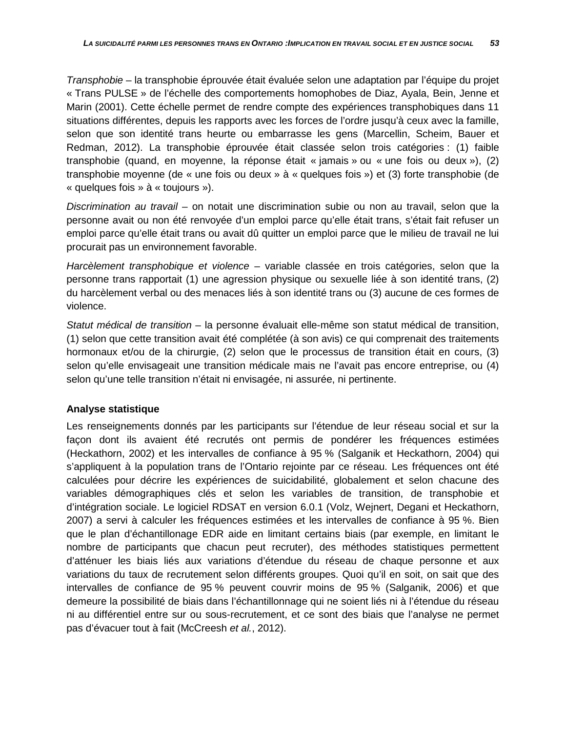*Transphobie* – la transphobie éprouvée était évaluée selon une adaptation par l'équipe du projet « Trans PULSE » de l'échelle des comportements homophobes de Diaz, Ayala, Bein, Jenne et Marin (2001). Cette échelle permet de rendre compte des expériences transphobiques dans 11 situations différentes, depuis les rapports avec les forces de l'ordre jusqu'à ceux avec la famille, selon que son identité trans heurte ou embarrasse les gens (Marcellin, Scheim, Bauer et Redman, 2012). La transphobie éprouvée était classée selon trois catégories : (1) faible transphobie (quand, en moyenne, la réponse était « jamais » ou « une fois ou deux »), (2) transphobie moyenne (de « une fois ou deux » à « quelques fois ») et (3) forte transphobie (de « quelques fois » à « toujours »).

*Discrimination au travail* – on notait une discrimination subie ou non au travail, selon que la personne avait ou non été renvoyée d'un emploi parce qu'elle était trans, s'était fait refuser un emploi parce qu'elle était trans ou avait dû quitter un emploi parce que le milieu de travail ne lui procurait pas un environnement favorable.

*Harcèlement transphobique et violence* – variable classée en trois catégories, selon que la personne trans rapportait (1) une agression physique ou sexuelle liée à son identité trans, (2) du harcèlement verbal ou des menaces liés à son identité trans ou (3) aucune de ces formes de violence.

*Statut médical de transition* – la personne évaluait elle-même son statut médical de transition, (1) selon que cette transition avait été complétée (à son avis) ce qui comprenait des traitements hormonaux et/ou de la chirurgie, (2) selon que le processus de transition était en cours, (3) selon qu'elle envisageait une transition médicale mais ne l'avait pas encore entreprise, ou (4) selon qu'une telle transition n'était ni envisagée, ni assurée, ni pertinente.

## **Analyse statistique**

Les renseignements donnés par les participants sur l'étendue de leur réseau social et sur la façon dont ils avaient été recrutés ont permis de pondérer les fréquences estimées (Heckathorn, 2002) et les intervalles de confiance à 95 % (Salganik et Heckathorn, 2004) qui s'appliquent à la population trans de l'Ontario rejointe par ce réseau. Les fréquences ont été calculées pour décrire les expériences de suicidabilité, globalement et selon chacune des variables démographiques clés et selon les variables de transition, de transphobie et d'intégration sociale. Le logiciel RDSAT en version 6.0.1 (Volz, Wejnert, Degani et Heckathorn, 2007) a servi à calculer les fréquences estimées et les intervalles de confiance à 95 %. Bien que le plan d'échantillonage EDR aide en limitant certains biais (par exemple, en limitant le nombre de participants que chacun peut recruter), des méthodes statistiques permettent d'atténuer les biais liés aux variations d'étendue du réseau de chaque personne et aux variations du taux de recrutement selon différents groupes. Quoi qu'il en soit, on sait que des intervalles de confiance de 95 % peuvent couvrir moins de 95 % (Salganik, 2006) et que demeure la possibilité de biais dans l'échantillonnage qui ne soient liés ni à l'étendue du réseau ni au différentiel entre sur ou sous-recrutement, et ce sont des biais que l'analyse ne permet pas d'évacuer tout à fait (McCreesh *et al.*, 2012).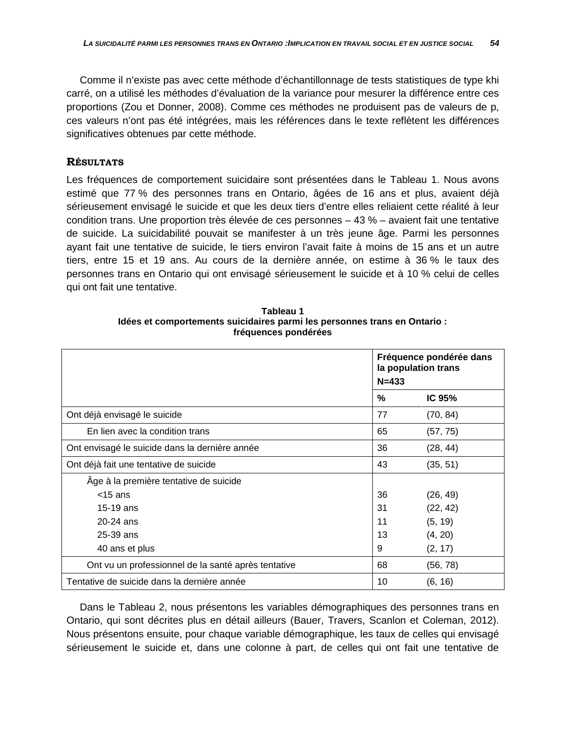Comme il n'existe pas avec cette méthode d'échantillonnage de tests statistiques de type khi carré, on a utilisé les méthodes d'évaluation de la variance pour mesurer la différence entre ces proportions (Zou et Donner, 2008). Comme ces méthodes ne produisent pas de valeurs de p, ces valeurs n'ont pas été intégrées, mais les références dans le texte reflètent les différences significatives obtenues par cette méthode.

### **RÉSULTATS**

Les fréquences de comportement suicidaire sont présentées dans le Tableau 1. Nous avons estimé que 77 % des personnes trans en Ontario, âgées de 16 ans et plus, avaient déjà sérieusement envisagé le suicide et que les deux tiers d'entre elles reliaient cette réalité à leur condition trans. Une proportion très élevée de ces personnes  $-43\%$  – avaient fait une tentative de suicide. La suicidabilité pouvait se manifester à un très jeune âge. Parmi les personnes ayant fait une tentative de suicide, le tiers environ l'avait faite à moins de 15 ans et un autre tiers, entre 15 et 19 ans. Au cours de la dernière année, on estime à 36 % le taux des personnes trans en Ontario qui ont envisagé sérieusement le suicide et à 10 % celui de celles qui ont fait une tentative.

|                                                     | Fréquence pondérée dans<br>la population trans<br>$N = 433$ |          |  |
|-----------------------------------------------------|-------------------------------------------------------------|----------|--|
|                                                     | %                                                           | IC 95%   |  |
| Ont déjà envisagé le suicide                        | 77                                                          | (70, 84) |  |
| En lien avec la condition trans                     | 65                                                          | (57, 75) |  |
| Ont envisagé le suicide dans la dernière année      | 36                                                          | (28, 44) |  |
| Ont déjà fait une tentative de suicide              | 43                                                          | (35, 51) |  |
| Âge à la première tentative de suicide              |                                                             |          |  |
| $<$ 15 ans                                          | 36                                                          | (26, 49) |  |
| $15-19$ ans                                         | 31                                                          | (22, 42) |  |
| 20-24 ans                                           | 11                                                          | (5, 19)  |  |
| 25-39 ans                                           | 13                                                          | (4, 20)  |  |
| 40 ans et plus                                      | 9                                                           | (2, 17)  |  |
| Ont vu un professionnel de la santé après tentative | 68                                                          | (56, 78) |  |
| Tentative de suicide dans la dernière année         | 10                                                          | (6, 16)  |  |

**Tableau 1 Idées et comportements suicidaires parmi les personnes trans en Ontario : fréquences pondérées**

Dans le Tableau 2, nous présentons les variables démographiques des personnes trans en Ontario, qui sont décrites plus en détail ailleurs (Bauer, Travers, Scanlon et Coleman, 2012). Nous présentons ensuite, pour chaque variable démographique, les taux de celles qui envisagé sérieusement le suicide et, dans une colonne à part, de celles qui ont fait une tentative de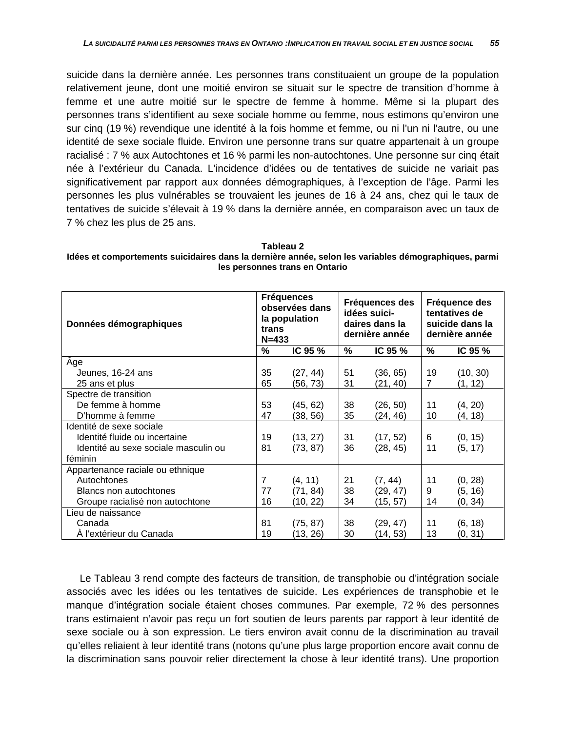suicide dans la dernière année. Les personnes trans constituaient un groupe de la population relativement jeune, dont une moitié environ se situait sur le spectre de transition d'homme à femme et une autre moitié sur le spectre de femme à homme. Même si la plupart des personnes trans s'identifient au sexe sociale homme ou femme, nous estimons qu'environ une sur cinq (19 %) revendique une identité à la fois homme et femme, ou ni l'un ni l'autre, ou une identité de sexe sociale fluide. Environ une personne trans sur quatre appartenait à un groupe racialisé : 7 % aux Autochtones et 16 % parmi les non-autochtones. Une personne sur cinq était née à l'extérieur du Canada. L'incidence d'idées ou de tentatives de suicide ne variait pas significativement par rapport aux données démographiques, à l'exception de l'âge. Parmi les personnes les plus vulnérables se trouvaient les jeunes de 16 à 24 ans, chez qui le taux de tentatives de suicide s'élevait à 19 % dans la dernière année, en comparaison avec un taux de 7 % chez les plus de 25 ans.

**Tableau 2 Idées et comportements suicidaires dans la dernière année, selon les variables démographiques, parmi les personnes trans en Ontario**

| Données démographiques               |                | <b>Fréquences</b><br>observées dans<br>la population<br>trans<br>$N = 433$ |    | Fréquences des<br>idées suici-<br>daires dans la<br>dernière année |    | Fréquence des<br>tentatives de<br>suicide dans la<br>dernière année |  |
|--------------------------------------|----------------|----------------------------------------------------------------------------|----|--------------------------------------------------------------------|----|---------------------------------------------------------------------|--|
|                                      | $\%$           | IC 95 %                                                                    | %  | IC 95 %                                                            | %  | IC 95 %                                                             |  |
| Âge                                  |                |                                                                            |    |                                                                    |    |                                                                     |  |
| Jeunes, 16-24 ans                    | 35             | (27, 44)                                                                   | 51 | (36, 65)                                                           | 19 | (10, 30)                                                            |  |
| 25 ans et plus                       | 65             | (56, 73)                                                                   | 31 | (21, 40)                                                           | 7  | (1, 12)                                                             |  |
| Spectre de transition                |                |                                                                            |    |                                                                    |    |                                                                     |  |
| De femme à homme                     | 53             | (45, 62)                                                                   | 38 | (26, 50)                                                           | 11 | (4, 20)                                                             |  |
| D'homme à femme                      | 47             | (38, 56)                                                                   | 35 | (24, 46)                                                           | 10 | (4, 18)                                                             |  |
| Identité de sexe sociale             |                |                                                                            |    |                                                                    |    |                                                                     |  |
| Identité fluide ou incertaine        | 19             | (13, 27)                                                                   | 31 | (17, 52)                                                           | 6  | (0, 15)                                                             |  |
| Identité au sexe sociale masculin ou | 81             | (73, 87)                                                                   | 36 | (28, 45)                                                           | 11 | (5, 17)                                                             |  |
| féminin                              |                |                                                                            |    |                                                                    |    |                                                                     |  |
| Appartenance raciale ou ethnique     |                |                                                                            |    |                                                                    |    |                                                                     |  |
| Autochtones                          | $\overline{7}$ | (4, 11)                                                                    | 21 | (7, 44)                                                            | 11 | (0, 28)                                                             |  |
| Blancs non autochtones               | 77             | (71, 84)                                                                   | 38 | (29, 47)                                                           | 9  | (5, 16)                                                             |  |
| Groupe racialisé non autochtone      | 16             | (10, 22)                                                                   | 34 | (15, 57)                                                           | 14 | (0, 34)                                                             |  |
| Lieu de naissance                    |                |                                                                            |    |                                                                    |    |                                                                     |  |
| Canada                               | 81             | (75, 87)                                                                   | 38 | (29, 47)                                                           | 11 | (6, 18)                                                             |  |
| A l'extérieur du Canada              | 19             | (13, 26)                                                                   | 30 | (14, 53)                                                           | 13 | (0, 31)                                                             |  |

Le Tableau 3 rend compte des facteurs de transition, de transphobie ou d'intégration sociale associés avec les idées ou les tentatives de suicide. Les expériences de transphobie et le manque d'intégration sociale étaient choses communes. Par exemple, 72 % des personnes trans estimaient n'avoir pas reçu un fort soutien de leurs parents par rapport à leur identité de sexe sociale ou à son expression. Le tiers environ avait connu de la discrimination au travail qu'elles reliaient à leur identité trans (notons qu'une plus large proportion encore avait connu de la discrimination sans pouvoir relier directement la chose à leur identité trans). Une proportion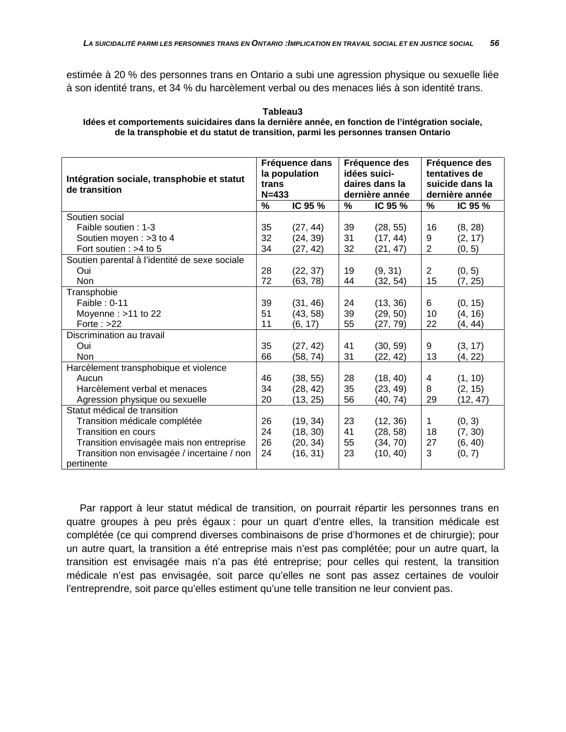estimée à 20 % des personnes trans en Ontario a subi une agression physique ou sexuelle liée à son identité trans, et 34 % du harcèlement verbal ou des menaces liés à son identité trans.

#### **Tableau3 Idées et comportements suicidaires dans la dernière année, en fonction de l'intégration sociale, de la transphobie et du statut de transition, parmi les personnes transen Ontario**

| Intégration sociale, transphobie et statut<br>de transition |    | Fréquence dans<br>la population<br>trans<br>$N = 433$ |    | Fréquence des<br>idées suici-<br>daires dans la<br>dernière année |    | Fréquence des<br>tentatives de<br>suicide dans la<br>dernière année |  |
|-------------------------------------------------------------|----|-------------------------------------------------------|----|-------------------------------------------------------------------|----|---------------------------------------------------------------------|--|
|                                                             | %  | IC 95 %                                               | %  | IC 95 %                                                           | %  | IC 95 %                                                             |  |
| Soutien social                                              |    |                                                       |    |                                                                   |    |                                                                     |  |
| Faible soutien: 1-3                                         | 35 | (27, 44)                                              | 39 | (28, 55)                                                          | 16 | (8, 28)                                                             |  |
| Soutien moyen: > 3 to 4                                     | 32 | (24, 39)                                              | 31 | (17, 44)                                                          | 9  | (2, 17)                                                             |  |
| Fort soutien : $>4$ to 5                                    | 34 | (27, 42)                                              | 32 | (21, 47)                                                          | 2  | (0, 5)                                                              |  |
| Soutien parental à l'identité de sexe sociale               |    |                                                       |    |                                                                   |    |                                                                     |  |
| Oui                                                         | 28 | (22, 37)                                              | 19 | (9, 31)                                                           | 2  | (0, 5)                                                              |  |
| Non                                                         | 72 | (63, 78)                                              | 44 | (32, 54)                                                          | 15 | (7, 25)                                                             |  |
| Transphobie                                                 |    |                                                       |    |                                                                   |    |                                                                     |  |
| Faible: 0-11                                                | 39 | (31, 46)                                              | 24 | (13, 36)                                                          | 6  | (0, 15)                                                             |  |
| Moyenne: $>11$ to 22                                        | 51 | (43, 58)                                              | 39 | (29, 50)                                                          | 10 | (4, 16)                                                             |  |
| Forte: $>22$                                                | 11 | (6, 17)                                               | 55 | (27, 79)                                                          | 22 | (4, 44)                                                             |  |
| Discrimination au travail                                   |    |                                                       |    |                                                                   |    |                                                                     |  |
| Oui.                                                        | 35 | (27, 42)                                              | 41 | (30, 59)                                                          | 9  | (3, 17)                                                             |  |
| <b>Non</b>                                                  | 66 | (58, 74)                                              | 31 | (22, 42)                                                          | 13 | (4, 22)                                                             |  |
| Harcèlement transphobique et violence                       |    |                                                       |    |                                                                   |    |                                                                     |  |
| Aucun                                                       | 46 | (38, 55)                                              | 28 | (18, 40)                                                          | 4  | (1, 10)                                                             |  |
| Harcèlement verbal et menaces                               | 34 | (28, 42)                                              | 35 | (23, 49)                                                          | 8  | (2, 15)                                                             |  |
| Agression physique ou sexuelle                              | 20 | (13, 25)                                              | 56 | (40, 74)                                                          | 29 | (12, 47)                                                            |  |
| Statut médical de transition                                |    |                                                       |    |                                                                   |    |                                                                     |  |
| Transition médicale complétée                               | 26 | (19, 34)                                              | 23 | (12, 36)                                                          | 1  | (0, 3)                                                              |  |
| Transition en cours                                         | 24 | (18, 30)                                              | 41 | (28, 58)                                                          | 18 | (7, 30)                                                             |  |
| Transition envisagée mais non entreprise                    | 26 | (20, 34)                                              | 55 | (34, 70)                                                          | 27 | (6, 40)                                                             |  |
| Transition non envisagée / incertaine / non                 | 24 | (16, 31)                                              | 23 | (10, 40)                                                          | 3  | (0, 7)                                                              |  |
| pertinente                                                  |    |                                                       |    |                                                                   |    |                                                                     |  |

Par rapport à leur statut médical de transition, on pourrait répartir les personnes trans en quatre groupes à peu près égaux : pour un quart d'entre elles, la transition médicale est complétée (ce qui comprend diverses combinaisons de prise d'hormones et de chirurgie); pour un autre quart, la transition a été entreprise mais n'est pas complétée; pour un autre quart, la transition est envisagée mais n'a pas été entreprise; pour celles qui restent, la transition médicale n'est pas envisagée, soit parce qu'elles ne sont pas assez certaines de vouloir l'entreprendre, soit parce qu'elles estiment qu'une telle transition ne leur convient pas.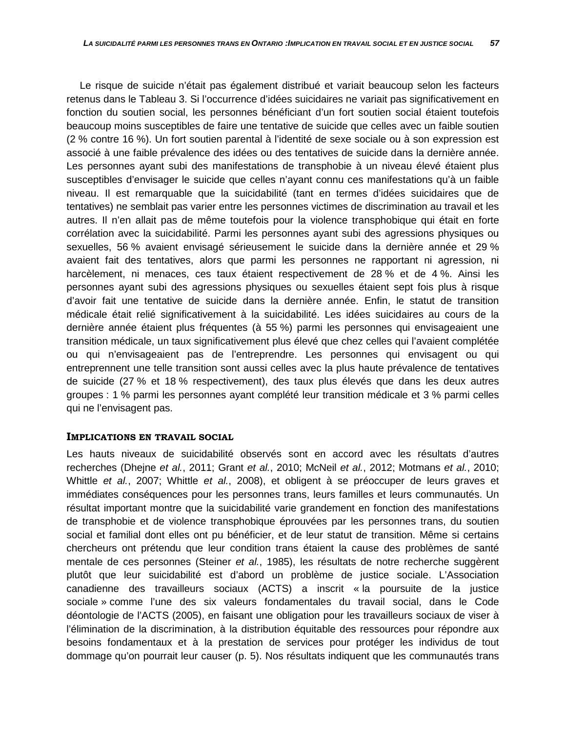Le risque de suicide n'était pas également distribué et variait beaucoup selon les facteurs retenus dans le Tableau 3. Si l'occurrence d'idées suicidaires ne variait pas significativement en fonction du soutien social, les personnes bénéficiant d'un fort soutien social étaient toutefois beaucoup moins susceptibles de faire une tentative de suicide que celles avec un faible soutien (2 % contre 16 %). Un fort soutien parental à l'identité de sexe sociale ou à son expression est associé à une faible prévalence des idées ou des tentatives de suicide dans la dernière année. Les personnes ayant subi des manifestations de transphobie à un niveau élevé étaient plus susceptibles d'envisager le suicide que celles n'ayant connu ces manifestations qu'à un faible niveau. Il est remarquable que la suicidabilité (tant en termes d'idées suicidaires que de tentatives) ne semblait pas varier entre les personnes victimes de discrimination au travail et les autres. Il n'en allait pas de même toutefois pour la violence transphobique qui était en forte corrélation avec la suicidabilité. Parmi les personnes ayant subi des agressions physiques ou sexuelles, 56 % avaient envisagé sérieusement le suicide dans la dernière année et 29 % avaient fait des tentatives, alors que parmi les personnes ne rapportant ni agression, ni harcèlement, ni menaces, ces taux étaient respectivement de 28 % et de 4 %. Ainsi les personnes ayant subi des agressions physiques ou sexuelles étaient sept fois plus à risque d'avoir fait une tentative de suicide dans la dernière année. Enfin, le statut de transition médicale était relié significativement à la suicidabilité. Les idées suicidaires au cours de la dernière année étaient plus fréquentes (à 55 %) parmi les personnes qui envisageaient une transition médicale, un taux significativement plus élevé que chez celles qui l'avaient complétée ou qui n'envisageaient pas de l'entreprendre. Les personnes qui envisagent ou qui entreprennent une telle transition sont aussi celles avec la plus haute prévalence de tentatives de suicide (27 % et 18 % respectivement), des taux plus élevés que dans les deux autres groupes : 1 % parmi les personnes ayant complété leur transition médicale et 3 % parmi celles qui ne l'envisagent pas.

### **IMPLICATIONS EN TRAVAIL SOCIAL**

Les hauts niveaux de suicidabilité observés sont en accord avec les résultats d'autres recherches (Dhejne *et al.*, 2011; Grant *et al.*, 2010; McNeil *et al.*, 2012; Motmans *et al.*, 2010; Whittle *et al.*, 2007; Whittle *et al.*, 2008), et obligent à se préoccuper de leurs graves et immédiates conséquences pour les personnes trans, leurs familles et leurs communautés. Un résultat important montre que la suicidabilité varie grandement en fonction des manifestations de transphobie et de violence transphobique éprouvées par les personnes trans, du soutien social et familial dont elles ont pu bénéficier, et de leur statut de transition. Même si certains chercheurs ont prétendu que leur condition trans étaient la cause des problèmes de santé mentale de ces personnes (Steiner *et al.*, 1985), les résultats de notre recherche suggèrent plutôt que leur suicidabilité est d'abord un problème de justice sociale. L'Association canadienne des travailleurs sociaux (ACTS) a inscrit « la poursuite de la justice sociale » comme l'une des six valeurs fondamentales du travail social, dans le Code déontologie de l'ACTS (2005), en faisant une obligation pour les travailleurs sociaux de viser à l'élimination de la discrimination, à la distribution équitable des ressources pour répondre aux besoins fondamentaux et à la prestation de services pour protéger les individus de tout dommage qu'on pourrait leur causer (p. 5). Nos résultats indiquent que les communautés trans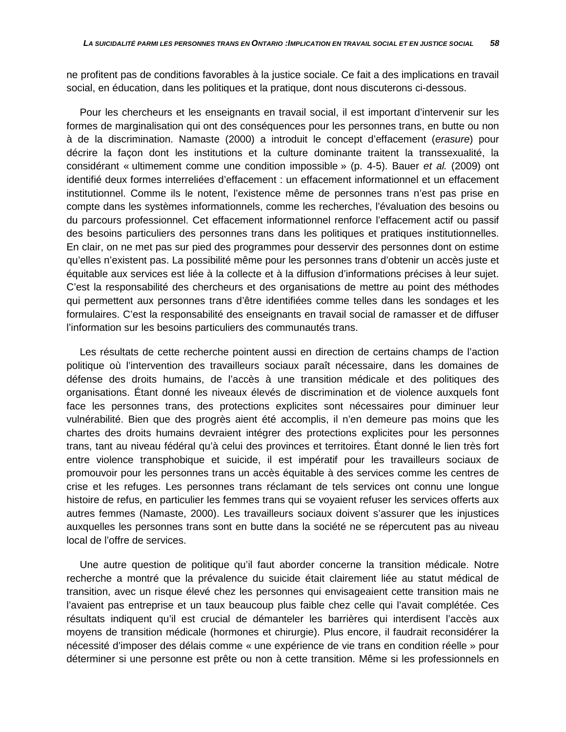ne profitent pas de conditions favorables à la justice sociale. Ce fait a des implications en travail social, en éducation, dans les politiques et la pratique, dont nous discuterons ci-dessous.

Pour les chercheurs et les enseignants en travail social, il est important d'intervenir sur les formes de marginalisation qui ont des conséquences pour les personnes trans, en butte ou non à de la discrimination. Namaste (2000) a introduit le concept d'effacement (*erasure*) pour décrire la façon dont les institutions et la culture dominante traitent la transsexualité, la considérant « ultimement comme une condition impossible » (p. 4-5). Bauer *et al.* (2009) ont identifié deux formes interreliées d'effacement : un effacement informationnel et un effacement institutionnel. Comme ils le notent, l'existence même de personnes trans n'est pas prise en compte dans les systèmes informationnels, comme les recherches, l'évaluation des besoins ou du parcours professionnel. Cet effacement informationnel renforce l'effacement actif ou passif des besoins particuliers des personnes trans dans les politiques et pratiques institutionnelles. En clair, on ne met pas sur pied des programmes pour desservir des personnes dont on estime qu'elles n'existent pas. La possibilité même pour les personnes trans d'obtenir un accès juste et équitable aux services est liée à la collecte et à la diffusion d'informations précises à leur sujet. C'est la responsabilité des chercheurs et des organisations de mettre au point des méthodes qui permettent aux personnes trans d'être identifiées comme telles dans les sondages et les formulaires. C'est la responsabilité des enseignants en travail social de ramasser et de diffuser l'information sur les besoins particuliers des communautés trans.

Les résultats de cette recherche pointent aussi en direction de certains champs de l'action politique où l'intervention des travailleurs sociaux paraît nécessaire, dans les domaines de défense des droits humains, de l'accès à une transition médicale et des politiques des organisations. Étant donné les niveaux élevés de discrimination et de violence auxquels font face les personnes trans, des protections explicites sont nécessaires pour diminuer leur vulnérabilité. Bien que des progrès aient été accomplis, il n'en demeure pas moins que les chartes des droits humains devraient intégrer des protections explicites pour les personnes trans, tant au niveau fédéral qu'à celui des provinces et territoires. Étant donné le lien très fort entre violence transphobique et suicide, il est impératif pour les travailleurs sociaux de promouvoir pour les personnes trans un accès équitable à des services comme les centres de crise et les refuges. Les personnes trans réclamant de tels services ont connu une longue histoire de refus, en particulier les femmes trans qui se voyaient refuser les services offerts aux autres femmes (Namaste, 2000). Les travailleurs sociaux doivent s'assurer que les injustices auxquelles les personnes trans sont en butte dans la société ne se répercutent pas au niveau local de l'offre de services.

Une autre question de politique qu'il faut aborder concerne la transition médicale. Notre recherche a montré que la prévalence du suicide était clairement liée au statut médical de transition, avec un risque élevé chez les personnes qui envisageaient cette transition mais ne l'avaient pas entreprise et un taux beaucoup plus faible chez celle qui l'avait complétée. Ces résultats indiquent qu'il est crucial de démanteler les barrières qui interdisent l'accès aux moyens de transition médicale (hormones et chirurgie). Plus encore, il faudrait reconsidérer la nécessité d'imposer des délais comme « une expérience de vie trans en condition réelle » pour déterminer si une personne est prête ou non à cette transition. Même si les professionnels en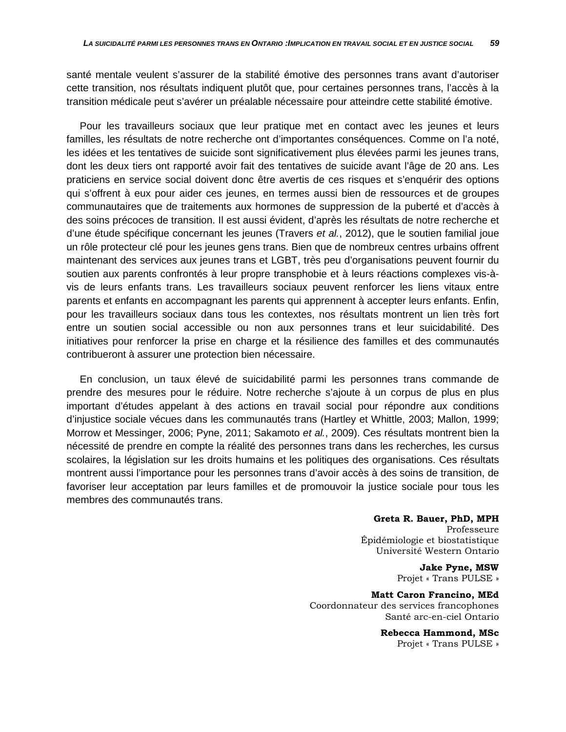santé mentale veulent s'assurer de la stabilité émotive des personnes trans avant d'autoriser cette transition, nos résultats indiquent plutôt que, pour certaines personnes trans, l'accès à la transition médicale peut s'avérer un préalable nécessaire pour atteindre cette stabilité émotive.

Pour les travailleurs sociaux que leur pratique met en contact avec les jeunes et leurs familles, les résultats de notre recherche ont d'importantes conséquences. Comme on l'a noté, les idées et les tentatives de suicide sont significativement plus élevées parmi les jeunes trans, dont les deux tiers ont rapporté avoir fait des tentatives de suicide avant l'âge de 20 ans. Les praticiens en service social doivent donc être avertis de ces risques et s'enquérir des options qui s'offrent à eux pour aider ces jeunes, en termes aussi bien de ressources et de groupes communautaires que de traitements aux hormones de suppression de la puberté et d'accès à des soins précoces de transition. Il est aussi évident, d'après les résultats de notre recherche et d'une étude spécifique concernant les jeunes (Travers *et al.*, 2012), que le soutien familial joue un rôle protecteur clé pour les jeunes gens trans. Bien que de nombreux centres urbains offrent maintenant des services aux jeunes trans et LGBT, très peu d'organisations peuvent fournir du soutien aux parents confrontés à leur propre transphobie et à leurs réactions complexes vis-àvis de leurs enfants trans. Les travailleurs sociaux peuvent renforcer les liens vitaux entre parents et enfants en accompagnant les parents qui apprennent à accepter leurs enfants. Enfin, pour les travailleurs sociaux dans tous les contextes, nos résultats montrent un lien très fort entre un soutien social accessible ou non aux personnes trans et leur suicidabilité. Des initiatives pour renforcer la prise en charge et la résilience des familles et des communautés contribueront à assurer une protection bien nécessaire.

En conclusion, un taux élevé de suicidabilité parmi les personnes trans commande de prendre des mesures pour le réduire. Notre recherche s'ajoute à un corpus de plus en plus important d'études appelant à des actions en travail social pour répondre aux conditions d'injustice sociale vécues dans les communautés trans (Hartley et Whittle, 2003; Mallon, 1999; Morrow et Messinger, 2006; Pyne, 2011; Sakamoto *et al.*, 2009). Ces résultats montrent bien la nécessité de prendre en compte la réalité des personnes trans dans les recherches, les cursus scolaires, la législation sur les droits humains et les politiques des organisations. Ces résultats montrent aussi l'importance pour les personnes trans d'avoir accès à des soins de transition, de favoriser leur acceptation par leurs familles et de promouvoir la justice sociale pour tous les membres des communautés trans.

### **Greta R. Bauer, PhD, MPH**

Professeure Épidémiologie et biostatistique Université Western Ontario

> **Jake Pyne, MSW** Projet « Trans PULSE »

**Matt Caron Francino, MEd** Coordonnateur des services francophones Santé arc-en-ciel Ontario

> **Rebecca Hammond, MSc** Projet « Trans PULSE »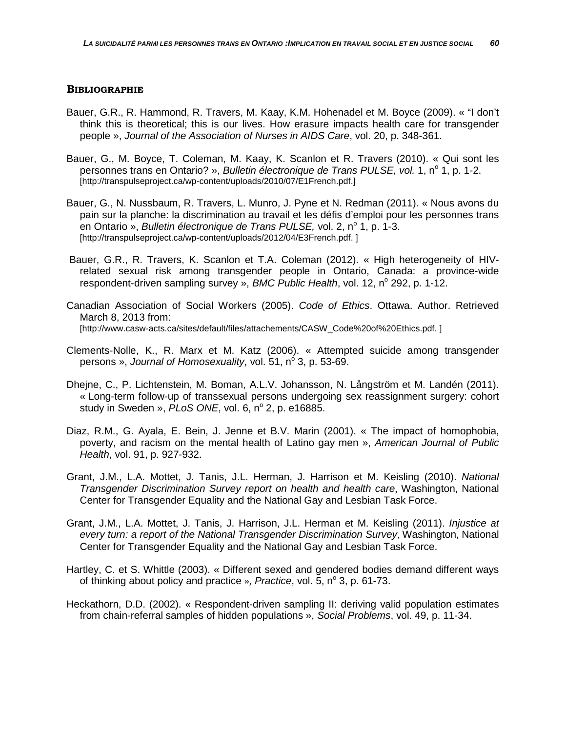### **BIBLIOGRAPHIE**

- Bauer, G.R., R. Hammond, R. Travers, M. Kaay, K.M. Hohenadel et M. Boyce (2009). « "I don't think this is theoretical; this is our lives. How erasure impacts health care for transgender people », *Journal of the Association of Nurses in AIDS Care*, vol. 20, p. 348-361.
- Bauer, G., M. Boyce, T. Coleman, M. Kaay, K. Scanlon et R. Travers (2010). « Qui sont les personnes trans en Ontario? », *Bulletin électronique de Trans PULSE, vol.* 1, n° 1, p. 1-2. [http://transpulseproject.ca/wp-content/uploads/2010/07/E1French.pdf.]
- Bauer, G., N. Nussbaum, R. Travers, L. Munro, J. Pyne et N. Redman (2011). « Nous avons du pain sur la planche: la discrimination au travail et les défis d'emploi pour les personnes trans en Ontario », *Bulletin électronique de Trans PULSE*, vol. 2, n<sup>o</sup> 1, p. 1-3, [http://transpulseproject.ca/wp-content/uploads/2012/04/E3French.pdf. ]
- Bauer, G.R., R. Travers, K. Scanlon et T.A. Coleman (2012). « High heterogeneity of HIVrelated sexual risk among transgender people in Ontario, Canada: a province-wide respondent-driven sampling survey », *BMC Public Health*, vol. 12, n° 292, p. 1-12.
- Canadian Association of Social Workers (2005). *Code of Ethics*. Ottawa. Author. Retrieved March 8, 2013 from: [http://www.casw-acts.ca/sites/default/files/attachements/CASW\_Code%20of%20Ethics.pdf. ]
- Clements-Nolle, K., R. Marx et M. Katz (2006). « Attempted suicide among transgender persons », *Journal of Homosexuality*, vol. 51, n° 3, p. 53-69.
- Dhejne, C., P. Lichtenstein, M. Boman, A.L.V. Johansson, N. Långström et M. Landén (2011). « Long-term follow-up of transsexual persons undergoing sex reassignment surgery: cohort study in Sweden », *PLoS ONE*, vol. 6, n<sup>o</sup> 2, p. e16885.
- Diaz, R.M., G. Ayala, E. Bein, J. Jenne et B.V. Marin (2001). « The impact of homophobia, poverty, and racism on the mental health of Latino gay men », *American Journal of Public Health*, vol. 91, p. 927-932.
- Grant, J.M., L.A. Mottet, J. Tanis, J.L. Herman, J. Harrison et M. Keisling (2010). *National Transgender Discrimination Survey report on health and health care*, Washington, National Center for Transgender Equality and the National Gay and Lesbian Task Force.
- Grant, J.M., L.A. Mottet, J. Tanis, J. Harrison, J.L. Herman et M. Keisling (2011). *Injustice at every turn: a report of the National Transgender Discrimination Survey*, Washington, National Center for Transgender Equality and the National Gay and Lesbian Task Force.
- Hartley, C. et S. Whittle (2003). « Different sexed and gendered bodies demand different ways of thinking about policy and practice », *Practice*, vol. 5, n<sup>o</sup> 3, p. 61-73.
- Heckathorn, D.D. (2002). « Respondent-driven sampling II: deriving valid population estimates from chain-referral samples of hidden populations », *Social Problems*, vol. 49, p. 11-34.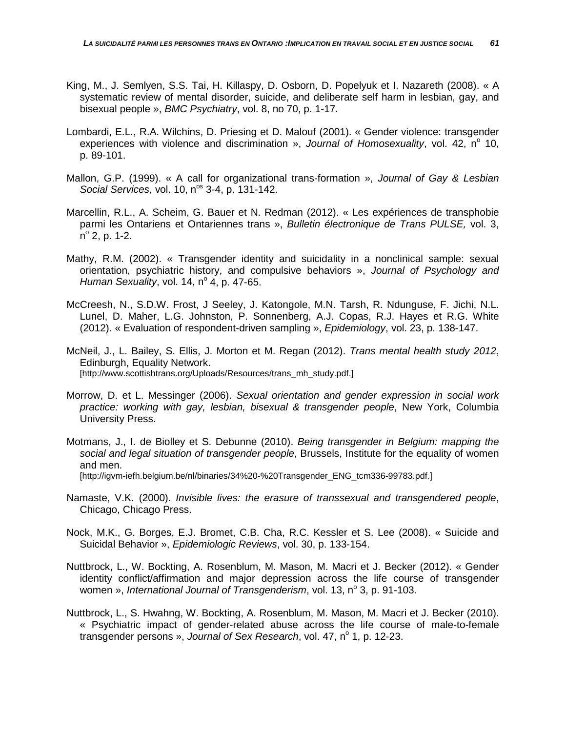- King, M., J. Semlyen, S.S. Tai, H. Killaspy, D. Osborn, D. Popelyuk et I. Nazareth (2008). « A systematic review of mental disorder, suicide, and deliberate self harm in lesbian, gay, and bisexual people », *BMC Psychiatry*, vol. 8, no 70, p. 1-17.
- Lombardi, E.L., R.A. Wilchins, D. Priesing et D. Malouf (2001). « Gender violence: transgender experiences with violence and discrimination », *Journal of Homosexuality*, vol. 42, n<sup>o</sup> 10, p. 89-101.
- Mallon, G.P. (1999). « A call for organizational trans-formation », *Journal of Gay & Lesbian Social Services, vol.* 10, n<sup>os</sup> 3-4, p. 131-142.
- Marcellin, R.L., A. Scheim, G. Bauer et N. Redman (2012). « Les expériences de transphobie parmi les Ontariens et Ontariennes trans », *Bulletin électronique de Trans PULSE,* vol. 3,  $n^{\circ}$  2, p. 1-2.
- Mathy, R.M. (2002). « Transgender identity and suicidality in a nonclinical sample: sexual orientation, psychiatric history, and compulsive behaviors », *Journal of Psychology and Human Sexuality*, vol. 14,  $n^{\circ}$  4, p. 47-65.
- McCreesh, N., S.D.W. Frost, J Seeley, J. Katongole, M.N. Tarsh, R. Ndunguse, F. Jichi, N.L. Lunel, D. Maher, L.G. Johnston, P. Sonnenberg, A.J. Copas, R.J. Hayes et R.G. White (2012). « Evaluation of respondent-driven sampling », *Epidemiology*, vol. 23, p. 138-147.
- McNeil, J., L. Bailey, S. Ellis, J. Morton et M. Regan (2012). *Trans mental health study 2012*, Edinburgh, Equality Network. [http://www.scottishtrans.org/Uploads/Resources/trans\_mh\_study.pdf.]
- Morrow, D. et L. Messinger (2006). *Sexual orientation and gender expression in social work practice: working with gay, lesbian, bisexual & transgender people*, New York, Columbia University Press.
- Motmans, J., I. de Biolley et S. Debunne (2010). *Being transgender in Belgium: mapping the social and legal situation of transgender people*, Brussels, Institute for the equality of women and men. [http://igvm-iefh.belgium.be/nl/binaries/34%20-%20Transgender\_ENG\_tcm336-99783.pdf.]
- Namaste, V.K. (2000). *Invisible lives: the erasure of transsexual and transgendered people*, Chicago, Chicago Press.
- Nock, M.K., G. Borges, E.J. Bromet, C.B. Cha, R.C. Kessler et S. Lee (2008). « Suicide and Suicidal Behavior », *Epidemiologic Reviews*, vol. 30, p. 133-154.
- Nuttbrock, L., W. Bockting, A. Rosenblum, M. Mason, M. Macri et J. Becker (2012). « Gender identity conflict/affirmation and major depression across the life course of transgender women », *International Journal of Transgenderism*, vol. 13, n° 3, p. 91-103.
- Nuttbrock, L., S. Hwahng, W. Bockting, A. Rosenblum, M. Mason, M. Macri et J. Becker (2010). « Psychiatric impact of gender-related abuse across the life course of male-to-female transgender persons », *Journal of Sex Research*, vol. 47, n<sup>o</sup> 1, p. 12-23.